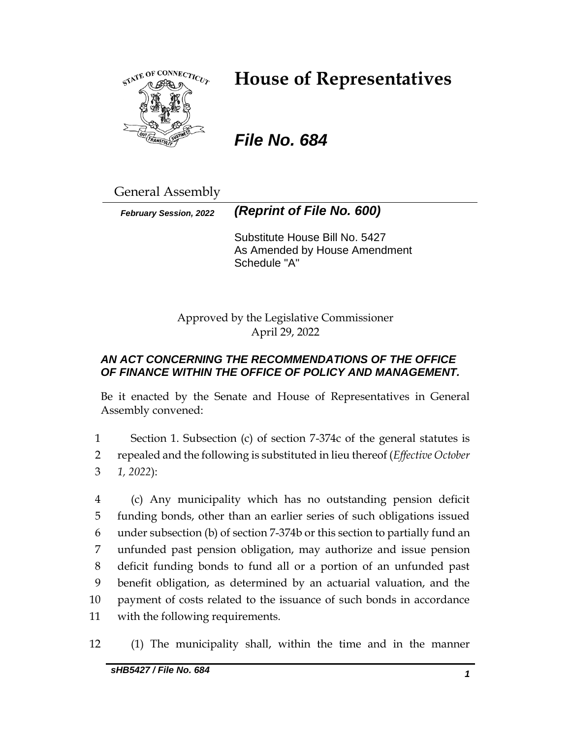

# **House of Representatives**

*File No. 684*

General Assembly

*February Session, 2022 (Reprint of File No. 600)*

Substitute House Bill No. 5427 As Amended by House Amendment Schedule "A"

Approved by the Legislative Commissioner April 29, 2022

# *AN ACT CONCERNING THE RECOMMENDATIONS OF THE OFFICE OF FINANCE WITHIN THE OFFICE OF POLICY AND MANAGEMENT.*

Be it enacted by the Senate and House of Representatives in General Assembly convened:

1 Section 1. Subsection (c) of section 7-374c of the general statutes is 2 repealed and the following is substituted in lieu thereof (*Effective October*  3 *1, 2022*):

 (c) Any municipality which has no outstanding pension deficit funding bonds, other than an earlier series of such obligations issued under subsection (b) of section 7-374b or this section to partially fund an unfunded past pension obligation, may authorize and issue pension deficit funding bonds to fund all or a portion of an unfunded past benefit obligation, as determined by an actuarial valuation, and the payment of costs related to the issuance of such bonds in accordance with the following requirements.

12 (1) The municipality shall, within the time and in the manner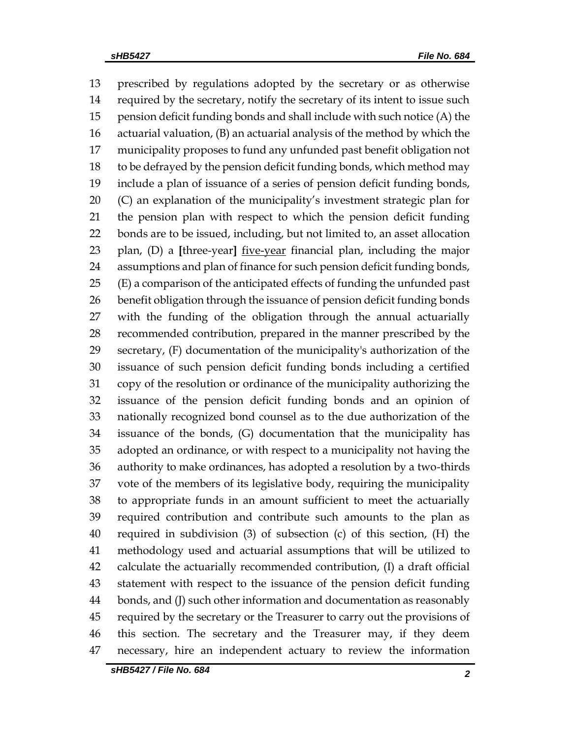prescribed by regulations adopted by the secretary or as otherwise required by the secretary, notify the secretary of its intent to issue such pension deficit funding bonds and shall include with such notice (A) the actuarial valuation, (B) an actuarial analysis of the method by which the municipality proposes to fund any unfunded past benefit obligation not to be defrayed by the pension deficit funding bonds, which method may include a plan of issuance of a series of pension deficit funding bonds, (C) an explanation of the municipality's investment strategic plan for the pension plan with respect to which the pension deficit funding bonds are to be issued, including, but not limited to, an asset allocation plan, (D) a **[**three-year**]** five-year financial plan, including the major assumptions and plan of finance for such pension deficit funding bonds, (E) a comparison of the anticipated effects of funding the unfunded past benefit obligation through the issuance of pension deficit funding bonds with the funding of the obligation through the annual actuarially recommended contribution, prepared in the manner prescribed by the secretary, (F) documentation of the municipality's authorization of the issuance of such pension deficit funding bonds including a certified copy of the resolution or ordinance of the municipality authorizing the issuance of the pension deficit funding bonds and an opinion of nationally recognized bond counsel as to the due authorization of the issuance of the bonds, (G) documentation that the municipality has adopted an ordinance, or with respect to a municipality not having the authority to make ordinances, has adopted a resolution by a two-thirds vote of the members of its legislative body, requiring the municipality to appropriate funds in an amount sufficient to meet the actuarially required contribution and contribute such amounts to the plan as required in subdivision (3) of subsection (c) of this section, (H) the methodology used and actuarial assumptions that will be utilized to calculate the actuarially recommended contribution, (I) a draft official statement with respect to the issuance of the pension deficit funding bonds, and (J) such other information and documentation as reasonably required by the secretary or the Treasurer to carry out the provisions of this section. The secretary and the Treasurer may, if they deem necessary, hire an independent actuary to review the information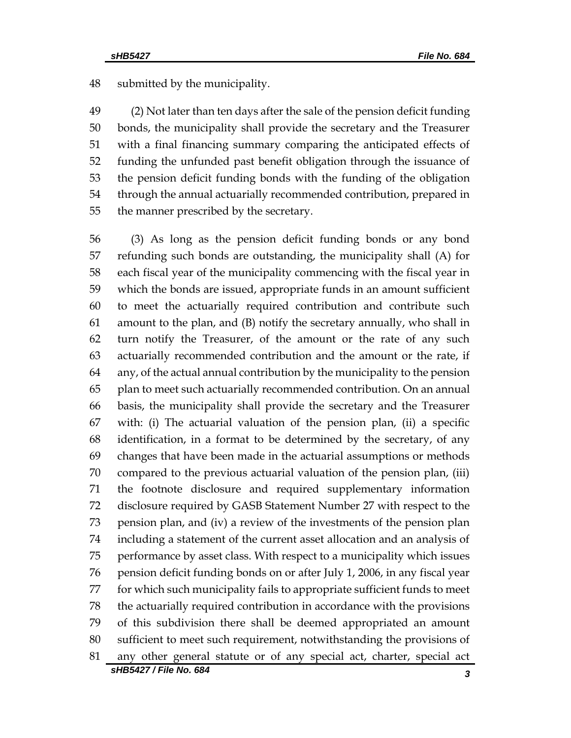submitted by the municipality.

 (2) Not later than ten days after the sale of the pension deficit funding bonds, the municipality shall provide the secretary and the Treasurer with a final financing summary comparing the anticipated effects of funding the unfunded past benefit obligation through the issuance of the pension deficit funding bonds with the funding of the obligation through the annual actuarially recommended contribution, prepared in the manner prescribed by the secretary.

*sHB5427 / File No. 684 3* (3) As long as the pension deficit funding bonds or any bond refunding such bonds are outstanding, the municipality shall (A) for each fiscal year of the municipality commencing with the fiscal year in which the bonds are issued, appropriate funds in an amount sufficient to meet the actuarially required contribution and contribute such amount to the plan, and (B) notify the secretary annually, who shall in turn notify the Treasurer, of the amount or the rate of any such actuarially recommended contribution and the amount or the rate, if any, of the actual annual contribution by the municipality to the pension plan to meet such actuarially recommended contribution. On an annual basis, the municipality shall provide the secretary and the Treasurer with: (i) The actuarial valuation of the pension plan, (ii) a specific identification, in a format to be determined by the secretary, of any changes that have been made in the actuarial assumptions or methods compared to the previous actuarial valuation of the pension plan, (iii) the footnote disclosure and required supplementary information disclosure required by GASB Statement Number 27 with respect to the pension plan, and (iv) a review of the investments of the pension plan including a statement of the current asset allocation and an analysis of performance by asset class. With respect to a municipality which issues pension deficit funding bonds on or after July 1, 2006, in any fiscal year for which such municipality fails to appropriate sufficient funds to meet the actuarially required contribution in accordance with the provisions of this subdivision there shall be deemed appropriated an amount sufficient to meet such requirement, notwithstanding the provisions of any other general statute or of any special act, charter, special act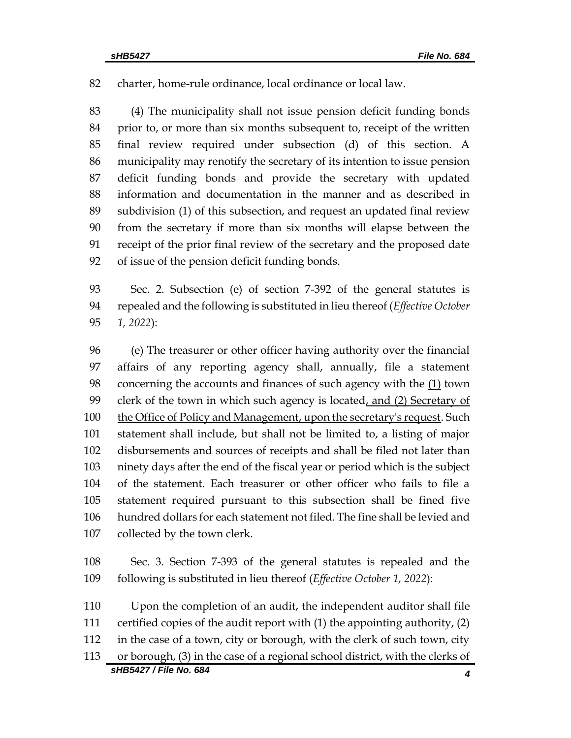charter, home-rule ordinance, local ordinance or local law.

 (4) The municipality shall not issue pension deficit funding bonds prior to, or more than six months subsequent to, receipt of the written final review required under subsection (d) of this section. A municipality may renotify the secretary of its intention to issue pension deficit funding bonds and provide the secretary with updated information and documentation in the manner and as described in subdivision (1) of this subsection, and request an updated final review from the secretary if more than six months will elapse between the receipt of the prior final review of the secretary and the proposed date of issue of the pension deficit funding bonds.

 Sec. 2. Subsection (e) of section 7-392 of the general statutes is repealed and the following is substituted in lieu thereof (*Effective October 1, 2022*):

 (e) The treasurer or other officer having authority over the financial affairs of any reporting agency shall, annually, file a statement 98 concerning the accounts and finances of such agency with the  $(1)$  town 99 clerk of the town in which such agency is located, and (2) Secretary of the Office of Policy and Management, upon the secretary's request. Such statement shall include, but shall not be limited to, a listing of major disbursements and sources of receipts and shall be filed not later than ninety days after the end of the fiscal year or period which is the subject of the statement. Each treasurer or other officer who fails to file a statement required pursuant to this subsection shall be fined five hundred dollars for each statement not filed. The fine shall be levied and collected by the town clerk.

 Sec. 3. Section 7-393 of the general statutes is repealed and the following is substituted in lieu thereof (*Effective October 1, 2022*):

*sHB5427 / File No. 684 4* Upon the completion of an audit, the independent auditor shall file certified copies of the audit report with (1) the appointing authority, (2) in the case of a town, city or borough, with the clerk of such town, city or borough, (3) in the case of a regional school district, with the clerks of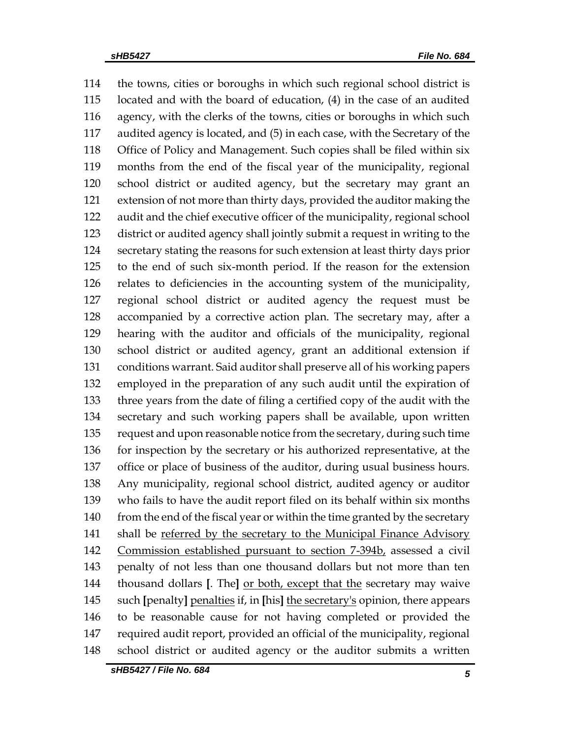the towns, cities or boroughs in which such regional school district is located and with the board of education, (4) in the case of an audited agency, with the clerks of the towns, cities or boroughs in which such audited agency is located, and (5) in each case, with the Secretary of the Office of Policy and Management. Such copies shall be filed within six months from the end of the fiscal year of the municipality, regional school district or audited agency, but the secretary may grant an extension of not more than thirty days, provided the auditor making the audit and the chief executive officer of the municipality, regional school district or audited agency shall jointly submit a request in writing to the secretary stating the reasons for such extension at least thirty days prior to the end of such six-month period. If the reason for the extension relates to deficiencies in the accounting system of the municipality, regional school district or audited agency the request must be accompanied by a corrective action plan. The secretary may, after a hearing with the auditor and officials of the municipality, regional school district or audited agency, grant an additional extension if conditions warrant. Said auditor shall preserve all of his working papers employed in the preparation of any such audit until the expiration of three years from the date of filing a certified copy of the audit with the secretary and such working papers shall be available, upon written request and upon reasonable notice from the secretary, during such time for inspection by the secretary or his authorized representative, at the office or place of business of the auditor, during usual business hours. Any municipality, regional school district, audited agency or auditor who fails to have the audit report filed on its behalf within six months 140 from the end of the fiscal year or within the time granted by the secretary shall be referred by the secretary to the Municipal Finance Advisory Commission established pursuant to section 7-394b, assessed a civil penalty of not less than one thousand dollars but not more than ten thousand dollars **[**. The**]** or both, except that the secretary may waive such **[**penalty**]** penalties if, in **[**his**]** the secretary's opinion, there appears to be reasonable cause for not having completed or provided the required audit report, provided an official of the municipality, regional school district or audited agency or the auditor submits a written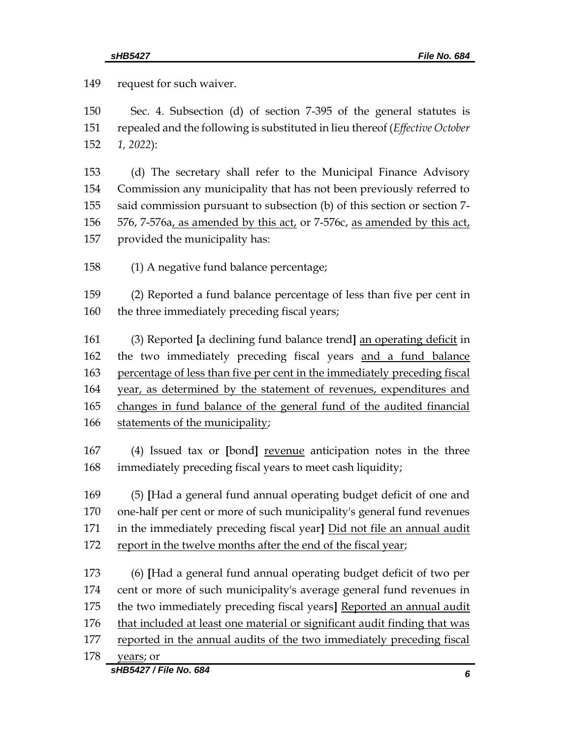request for such waiver. Sec. 4. Subsection (d) of section 7-395 of the general statutes is repealed and the following is substituted in lieu thereof (*Effective October 1, 2022*): (d) The secretary shall refer to the Municipal Finance Advisory Commission any municipality that has not been previously referred to said commission pursuant to subsection (b) of this section or section 7- 156 576, 7-576 $a<sub>L</sub>$  as amended by this act, or 7-576c, as amended by this act, provided the municipality has: (1) A negative fund balance percentage; (2) Reported a fund balance percentage of less than five per cent in 160 the three immediately preceding fiscal years; (3) Reported **[**a declining fund balance trend**]** an operating deficit in the two immediately preceding fiscal years and a fund balance percentage of less than five per cent in the immediately preceding fiscal year, as determined by the statement of revenues, expenditures and changes in fund balance of the general fund of the audited financial statements of the municipality; (4) Issued tax or **[**bond**]** revenue anticipation notes in the three immediately preceding fiscal years to meet cash liquidity; (5) **[**Had a general fund annual operating budget deficit of one and one-half per cent or more of such municipality's general fund revenues in the immediately preceding fiscal year**]** Did not file an annual audit report in the twelve months after the end of the fiscal year; (6) **[**Had a general fund annual operating budget deficit of two per cent or more of such municipality's average general fund revenues in the two immediately preceding fiscal years**]** Reported an annual audit that included at least one material or significant audit finding that was reported in the annual audits of the two immediately preceding fiscal years; or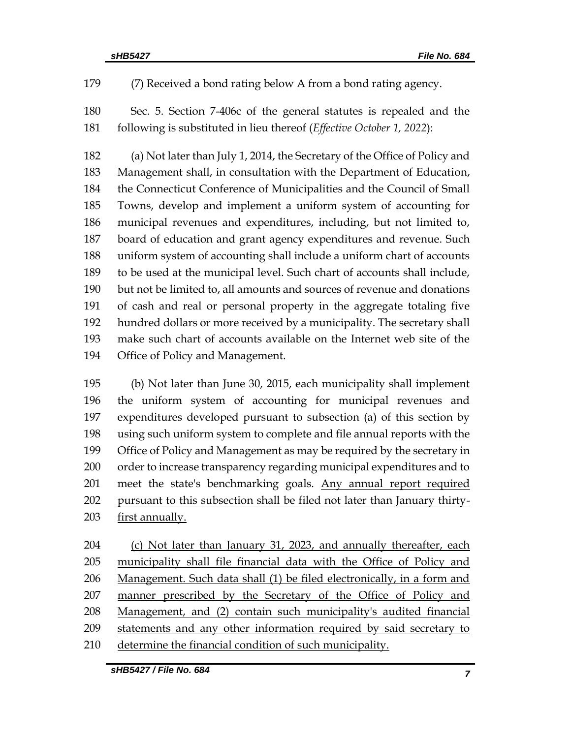(7) Received a bond rating below A from a bond rating agency.

 Sec. 5. Section 7-406c of the general statutes is repealed and the following is substituted in lieu thereof (*Effective October 1, 2022*):

 (a) Not later than July 1, 2014, the Secretary of the Office of Policy and Management shall, in consultation with the Department of Education, the Connecticut Conference of Municipalities and the Council of Small Towns, develop and implement a uniform system of accounting for municipal revenues and expenditures, including, but not limited to, board of education and grant agency expenditures and revenue. Such uniform system of accounting shall include a uniform chart of accounts to be used at the municipal level. Such chart of accounts shall include, but not be limited to, all amounts and sources of revenue and donations of cash and real or personal property in the aggregate totaling five hundred dollars or more received by a municipality. The secretary shall make such chart of accounts available on the Internet web site of the Office of Policy and Management.

 (b) Not later than June 30, 2015, each municipality shall implement the uniform system of accounting for municipal revenues and expenditures developed pursuant to subsection (a) of this section by using such uniform system to complete and file annual reports with the Office of Policy and Management as may be required by the secretary in order to increase transparency regarding municipal expenditures and to 201 meet the state's benchmarking goals. Any annual report required pursuant to this subsection shall be filed not later than January thirty-203 first annually.

204 (c) Not later than January 31, 2023, and annually thereafter, each municipality shall file financial data with the Office of Policy and 206 Management. Such data shall (1) be filed electronically, in a form and manner prescribed by the Secretary of the Office of Policy and Management, and (2) contain such municipality's audited financial statements and any other information required by said secretary to 210 determine the financial condition of such municipality.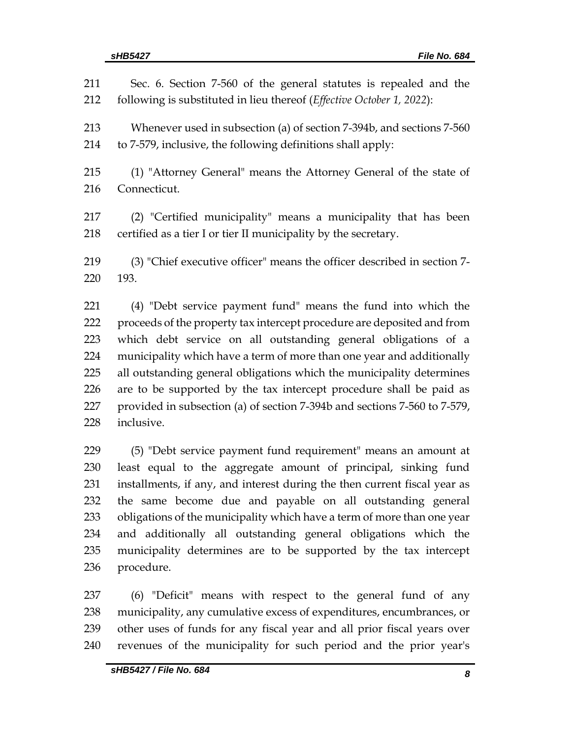| 211<br>212 | Sec. 6. Section 7-560 of the general statutes is repealed and the<br>following is substituted in lieu thereof (Effective October 1, 2022): |
|------------|--------------------------------------------------------------------------------------------------------------------------------------------|
| 213        | Whenever used in subsection (a) of section 7-394b, and sections 7-560                                                                      |
| 214        | to 7-579, inclusive, the following definitions shall apply:                                                                                |
| 215        | (1) "Attorney General" means the Attorney General of the state of                                                                          |
| 216        | Connecticut.                                                                                                                               |
| 217        | (2) "Certified municipality" means a municipality that has been                                                                            |
| 218        | certified as a tier I or tier II municipality by the secretary.                                                                            |
| 219        | (3) "Chief executive officer" means the officer described in section 7-                                                                    |
| 220        | 193.                                                                                                                                       |
| 221        | (4) "Debt service payment fund" means the fund into which the                                                                              |
| 222        | proceeds of the property tax intercept procedure are deposited and from                                                                    |
| 223        | which debt service on all outstanding general obligations of a                                                                             |
| 224        | municipality which have a term of more than one year and additionally                                                                      |
| 225        | all outstanding general obligations which the municipality determines                                                                      |
| 226        | are to be supported by the tax intercept procedure shall be paid as                                                                        |
| 227        | provided in subsection (a) of section 7-394b and sections 7-560 to 7-579,                                                                  |
| 228        | inclusive.                                                                                                                                 |
| 229        | (5) "Debt service payment fund requirement" means an amount at                                                                             |
| 230        | least equal to the aggregate amount of principal, sinking fund                                                                             |
| 231        | installments, if any, and interest during the then current fiscal year as                                                                  |
| 232        | the same become due and payable on all outstanding general                                                                                 |
| 233        | obligations of the municipality which have a term of more than one year                                                                    |
| 234        | and additionally all outstanding general obligations which the                                                                             |
| 235        | municipality determines are to be supported by the tax intercept                                                                           |

procedure.

 (6) "Deficit" means with respect to the general fund of any municipality, any cumulative excess of expenditures, encumbrances, or other uses of funds for any fiscal year and all prior fiscal years over revenues of the municipality for such period and the prior year's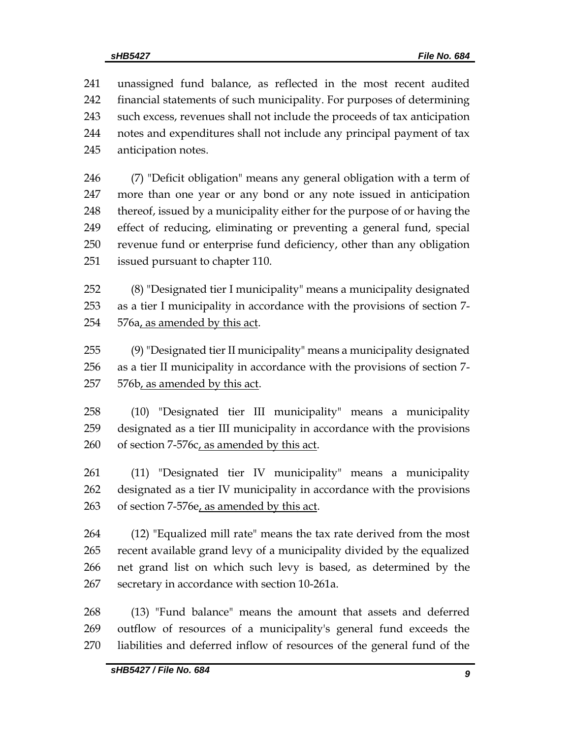unassigned fund balance, as reflected in the most recent audited financial statements of such municipality. For purposes of determining such excess, revenues shall not include the proceeds of tax anticipation notes and expenditures shall not include any principal payment of tax anticipation notes.

 (7) "Deficit obligation" means any general obligation with a term of more than one year or any bond or any note issued in anticipation 248 thereof, issued by a municipality either for the purpose of or having the effect of reducing, eliminating or preventing a general fund, special revenue fund or enterprise fund deficiency, other than any obligation issued pursuant to chapter 110.

 (8) "Designated tier I municipality" means a municipality designated as a tier I municipality in accordance with the provisions of section 7- 576a, as amended by this act.

 (9) "Designated tier II municipality" means a municipality designated as a tier II municipality in accordance with the provisions of section 7- 576b, as amended by this act.

 (10) "Designated tier III municipality" means a municipality designated as a tier III municipality in accordance with the provisions of section 7-576c, as amended by this act.

 (11) "Designated tier IV municipality" means a municipality designated as a tier IV municipality in accordance with the provisions 263 of section 7-576e, as amended by this act.

 (12) "Equalized mill rate" means the tax rate derived from the most recent available grand levy of a municipality divided by the equalized net grand list on which such levy is based, as determined by the secretary in accordance with section 10-261a.

 (13) "Fund balance" means the amount that assets and deferred outflow of resources of a municipality's general fund exceeds the liabilities and deferred inflow of resources of the general fund of the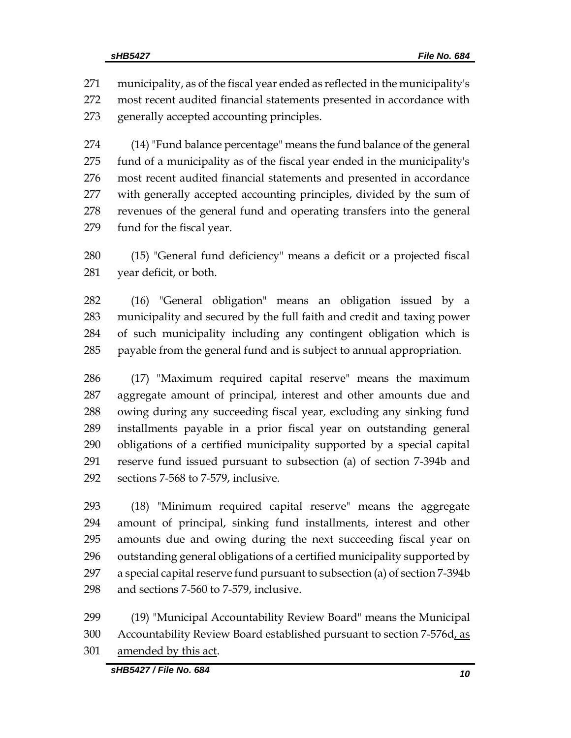municipality, as of the fiscal year ended as reflected in the municipality's most recent audited financial statements presented in accordance with generally accepted accounting principles.

 (14) "Fund balance percentage" means the fund balance of the general fund of a municipality as of the fiscal year ended in the municipality's most recent audited financial statements and presented in accordance with generally accepted accounting principles, divided by the sum of revenues of the general fund and operating transfers into the general fund for the fiscal year.

 (15) "General fund deficiency" means a deficit or a projected fiscal year deficit, or both.

 (16) "General obligation" means an obligation issued by a municipality and secured by the full faith and credit and taxing power of such municipality including any contingent obligation which is payable from the general fund and is subject to annual appropriation.

 (17) "Maximum required capital reserve" means the maximum aggregate amount of principal, interest and other amounts due and owing during any succeeding fiscal year, excluding any sinking fund installments payable in a prior fiscal year on outstanding general obligations of a certified municipality supported by a special capital reserve fund issued pursuant to subsection (a) of section 7-394b and sections 7-568 to 7-579, inclusive.

 (18) "Minimum required capital reserve" means the aggregate amount of principal, sinking fund installments, interest and other amounts due and owing during the next succeeding fiscal year on outstanding general obligations of a certified municipality supported by a special capital reserve fund pursuant to subsection (a) of section 7-394b and sections 7-560 to 7-579, inclusive.

 (19) "Municipal Accountability Review Board" means the Municipal 300 Accountability Review Board established pursuant to section 7-576d, as amended by this act.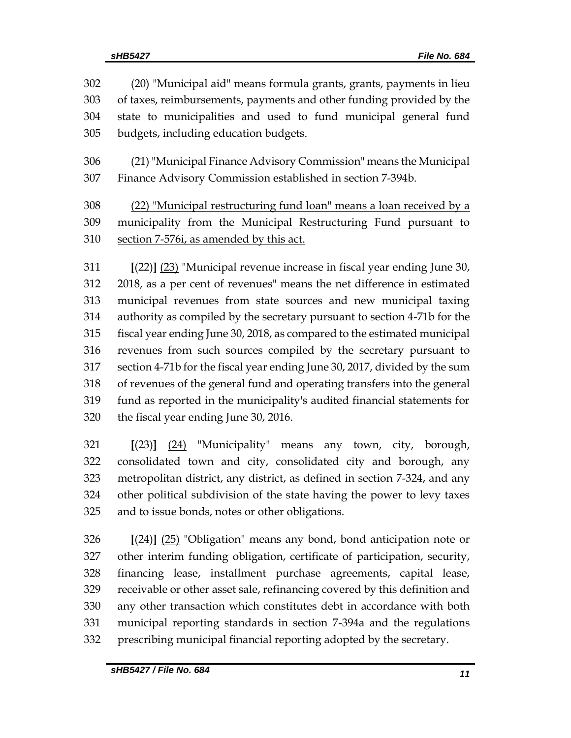| 302 | (20) "Municipal aid" means formula grants, grants, payments in lieu        |  |  |  |
|-----|----------------------------------------------------------------------------|--|--|--|
| 303 | of taxes, reimbursements, payments and other funding provided by the       |  |  |  |
| 304 | state to municipalities and used to fund municipal general fund            |  |  |  |
| 305 | budgets, including education budgets.                                      |  |  |  |
| 306 | (21) "Municipal Finance Advisory Commission" means the Municipal           |  |  |  |
| 307 | Finance Advisory Commission established in section 7-394b.                 |  |  |  |
| 308 | (22) "Municipal restructuring fund loan" means a loan received by a        |  |  |  |
| 309 | municipality from the Municipal Restructuring Fund pursuant to             |  |  |  |
| 310 | section 7-576i, as amended by this act.                                    |  |  |  |
| 311 | $[(22)]$ $(23)$ "Municipal revenue increase in fiscal year ending June 30, |  |  |  |
| 312 | 2018, as a per cent of revenues" means the net difference in estimated     |  |  |  |
| 313 | municipal revenues from state sources and new municipal taxing             |  |  |  |
| 314 | authority as compiled by the secretary pursuant to section 4-71b for the   |  |  |  |
| 315 | fiscal year ending June 30, 2018, as compared to the estimated municipal   |  |  |  |
| 316 | revenues from such sources compiled by the secretary pursuant to           |  |  |  |
| 317 | section 4-71b for the fiscal year ending June 30, 2017, divided by the sum |  |  |  |
| 318 | of revenues of the general fund and operating transfers into the general   |  |  |  |

 fund as reported in the municipality's audited financial statements for the fiscal year ending June 30, 2016.

 **[**(23)**]** (24) "Municipality" means any town, city, borough, consolidated town and city, consolidated city and borough, any metropolitan district, any district, as defined in section 7-324, and any other political subdivision of the state having the power to levy taxes and to issue bonds, notes or other obligations.

 **[**(24)**]** (25) "Obligation" means any bond, bond anticipation note or other interim funding obligation, certificate of participation, security, financing lease, installment purchase agreements, capital lease, receivable or other asset sale, refinancing covered by this definition and any other transaction which constitutes debt in accordance with both municipal reporting standards in section 7-394a and the regulations prescribing municipal financial reporting adopted by the secretary.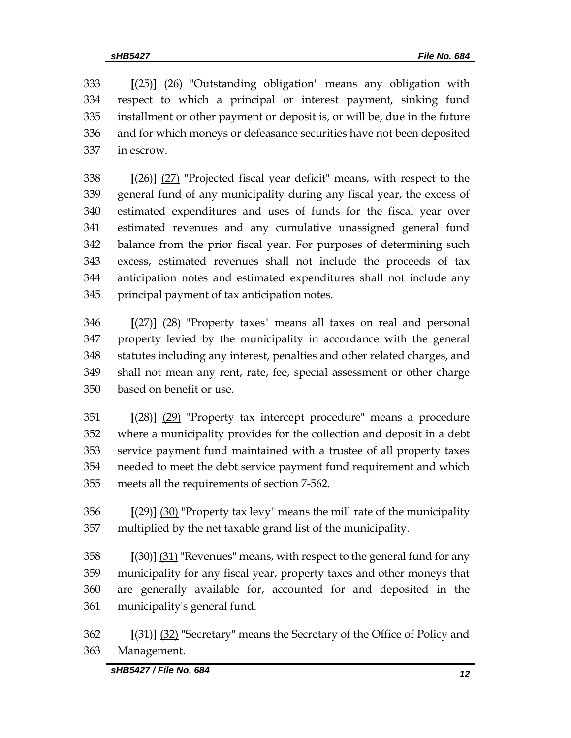**[**(25)**]** (26) "Outstanding obligation" means any obligation with respect to which a principal or interest payment, sinking fund installment or other payment or deposit is, or will be, due in the future and for which moneys or defeasance securities have not been deposited in escrow.

 **[**(26)**]** (27) "Projected fiscal year deficit" means, with respect to the general fund of any municipality during any fiscal year, the excess of estimated expenditures and uses of funds for the fiscal year over estimated revenues and any cumulative unassigned general fund balance from the prior fiscal year. For purposes of determining such excess, estimated revenues shall not include the proceeds of tax anticipation notes and estimated expenditures shall not include any principal payment of tax anticipation notes.

 **[**(27)**]** (28) "Property taxes" means all taxes on real and personal property levied by the municipality in accordance with the general statutes including any interest, penalties and other related charges, and shall not mean any rent, rate, fee, special assessment or other charge based on benefit or use.

 **[**(28)**]** (29) "Property tax intercept procedure" means a procedure where a municipality provides for the collection and deposit in a debt service payment fund maintained with a trustee of all property taxes needed to meet the debt service payment fund requirement and which meets all the requirements of section 7-562.

 **[**(29)**]** (30) "Property tax levy" means the mill rate of the municipality multiplied by the net taxable grand list of the municipality.

 **[**(30)**]** (31) "Revenues" means, with respect to the general fund for any municipality for any fiscal year, property taxes and other moneys that are generally available for, accounted for and deposited in the municipality's general fund.

 **[**(31)**]** (32) "Secretary" means the Secretary of the Office of Policy and Management.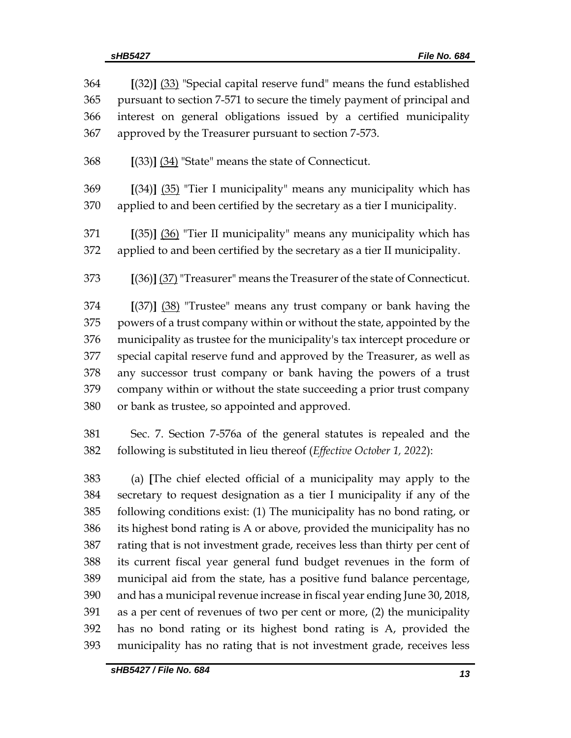| 364 | $[(32)]$ $(33)$ "Special capital reserve fund" means the fund established  |  |  |  |  |
|-----|----------------------------------------------------------------------------|--|--|--|--|
| 365 | pursuant to section 7-571 to secure the timely payment of principal and    |  |  |  |  |
| 366 | interest on general obligations issued by a certified municipality         |  |  |  |  |
| 367 | approved by the Treasurer pursuant to section 7-573.                       |  |  |  |  |
| 368 | $[(33)]$ $(34)$ "State" means the state of Connecticut.                    |  |  |  |  |
| 369 | $[(34)]$ $(35)$ "Tier I municipality" means any municipality which has     |  |  |  |  |
| 370 | applied to and been certified by the secretary as a tier I municipality.   |  |  |  |  |
| 371 | $[(35)]$ $(36)$ "Tier II municipality" means any municipality which has    |  |  |  |  |
| 372 | applied to and been certified by the secretary as a tier II municipality.  |  |  |  |  |
| 373 | [(36)] (37) "Treasurer" means the Treasurer of the state of Connecticut.   |  |  |  |  |
| 374 | $[(37)]$ $(38)$ "Trustee" means any trust company or bank having the       |  |  |  |  |
| 375 | powers of a trust company within or without the state, appointed by the    |  |  |  |  |
| 376 | municipality as trustee for the municipality's tax intercept procedure or  |  |  |  |  |
| 377 | special capital reserve fund and approved by the Treasurer, as well as     |  |  |  |  |
| 378 | any successor trust company or bank having the powers of a trust           |  |  |  |  |
| 379 | company within or without the state succeeding a prior trust company       |  |  |  |  |
| 380 | or bank as trustee, so appointed and approved.                             |  |  |  |  |
| 381 | Sec. 7. Section 7-576a of the general statutes is repealed and the         |  |  |  |  |
| 382 | following is substituted in lieu thereof (Effective October 1, 2022):      |  |  |  |  |
| 383 | (a) [The chief elected official of a municipality may apply to the         |  |  |  |  |
| 384 | secretary to request designation as a tier I municipality if any of the    |  |  |  |  |
| 385 | following conditions exist: (1) The municipality has no bond rating, or    |  |  |  |  |
| 386 | its highest bond rating is A or above, provided the municipality has no    |  |  |  |  |
| 387 | rating that is not investment grade, receives less than thirty per cent of |  |  |  |  |
| 388 | its current fiscal year general fund budget revenues in the form of        |  |  |  |  |
| 389 | municipal aid from the state, has a positive fund balance percentage,      |  |  |  |  |
| 390 | and has a municipal revenue increase in fiscal year ending June 30, 2018,  |  |  |  |  |
| 391 | as a per cent of revenues of two per cent or more, (2) the municipality    |  |  |  |  |
|     |                                                                            |  |  |  |  |

 has no bond rating or its highest bond rating is A, provided the municipality has no rating that is not investment grade, receives less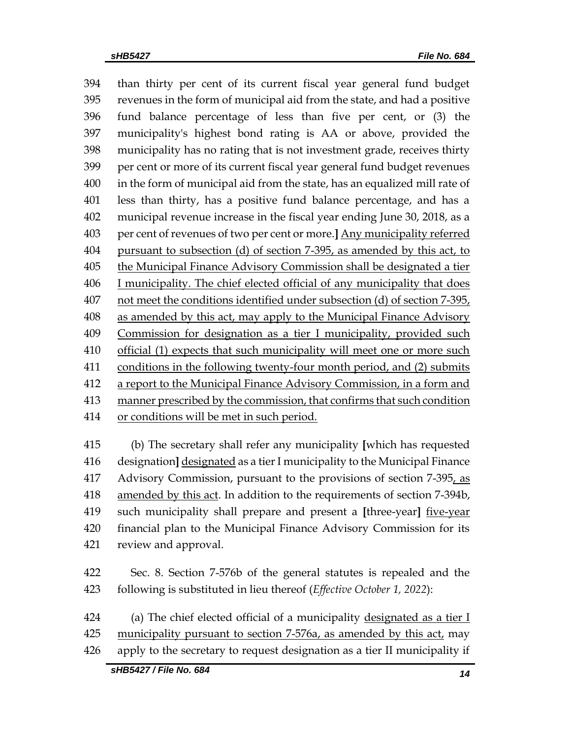than thirty per cent of its current fiscal year general fund budget revenues in the form of municipal aid from the state, and had a positive fund balance percentage of less than five per cent, or (3) the municipality's highest bond rating is AA or above, provided the municipality has no rating that is not investment grade, receives thirty per cent or more of its current fiscal year general fund budget revenues in the form of municipal aid from the state, has an equalized mill rate of less than thirty, has a positive fund balance percentage, and has a municipal revenue increase in the fiscal year ending June 30, 2018, as a per cent of revenues of two per cent or more.**]** Any municipality referred pursuant to subsection (d) of section 7-395, as amended by this act, to the Municipal Finance Advisory Commission shall be designated a tier I municipality. The chief elected official of any municipality that does not meet the conditions identified under subsection (d) of section 7-395, 408 as amended by this act, may apply to the Municipal Finance Advisory Commission for designation as a tier I municipality, provided such official (1) expects that such municipality will meet one or more such 411 conditions in the following twenty-four month period, and (2) submits a report to the Municipal Finance Advisory Commission, in a form and manner prescribed by the commission, that confirms that such condition or conditions will be met in such period.

 (b) The secretary shall refer any municipality **[**which has requested designation**]** designated as a tier I municipality to the Municipal Finance Advisory Commission, pursuant to the provisions of section 7-395, as amended by this act. In addition to the requirements of section 7-394b, such municipality shall prepare and present a **[**three-year**]** five-year financial plan to the Municipal Finance Advisory Commission for its review and approval.

 Sec. 8. Section 7-576b of the general statutes is repealed and the following is substituted in lieu thereof (*Effective October 1, 2022*):

 (a) The chief elected official of a municipality designated as a tier I 425 municipality pursuant to section 7-576a, as amended by this act, may apply to the secretary to request designation as a tier II municipality if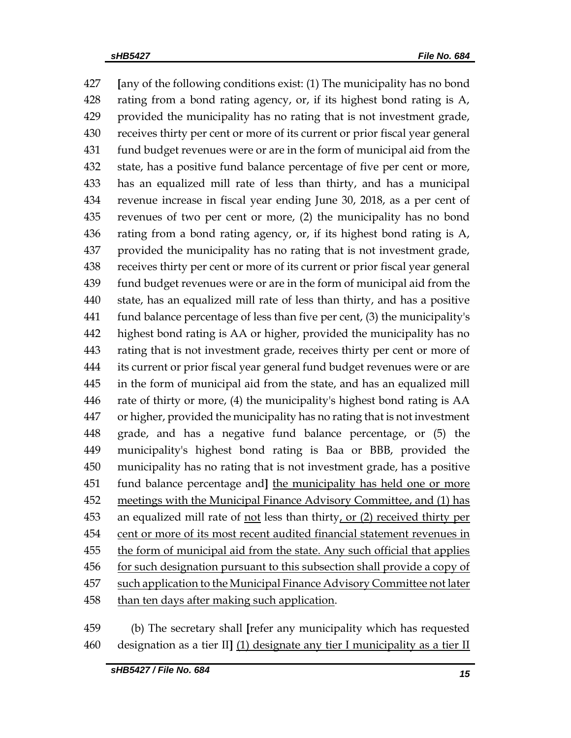**[**any of the following conditions exist: (1) The municipality has no bond rating from a bond rating agency, or, if its highest bond rating is A, provided the municipality has no rating that is not investment grade, receives thirty per cent or more of its current or prior fiscal year general fund budget revenues were or are in the form of municipal aid from the state, has a positive fund balance percentage of five per cent or more, has an equalized mill rate of less than thirty, and has a municipal revenue increase in fiscal year ending June 30, 2018, as a per cent of revenues of two per cent or more, (2) the municipality has no bond rating from a bond rating agency, or, if its highest bond rating is A, provided the municipality has no rating that is not investment grade, receives thirty per cent or more of its current or prior fiscal year general fund budget revenues were or are in the form of municipal aid from the state, has an equalized mill rate of less than thirty, and has a positive fund balance percentage of less than five per cent, (3) the municipality's highest bond rating is AA or higher, provided the municipality has no rating that is not investment grade, receives thirty per cent or more of its current or prior fiscal year general fund budget revenues were or are in the form of municipal aid from the state, and has an equalized mill rate of thirty or more, (4) the municipality's highest bond rating is AA or higher, provided the municipality has no rating that is not investment grade, and has a negative fund balance percentage, or (5) the municipality's highest bond rating is Baa or BBB, provided the municipality has no rating that is not investment grade, has a positive fund balance percentage and**]** the municipality has held one or more meetings with the Municipal Finance Advisory Committee, and (1) has 453 an equalized mill rate of not less than thirty, or (2) received thirty per cent or more of its most recent audited financial statement revenues in the form of municipal aid from the state. Any such official that applies 456 for such designation pursuant to this subsection shall provide a copy of 457 such application to the Municipal Finance Advisory Committee not later than ten days after making such application.

 (b) The secretary shall **[**refer any municipality which has requested designation as a tier II**]** (1) designate any tier I municipality as a tier II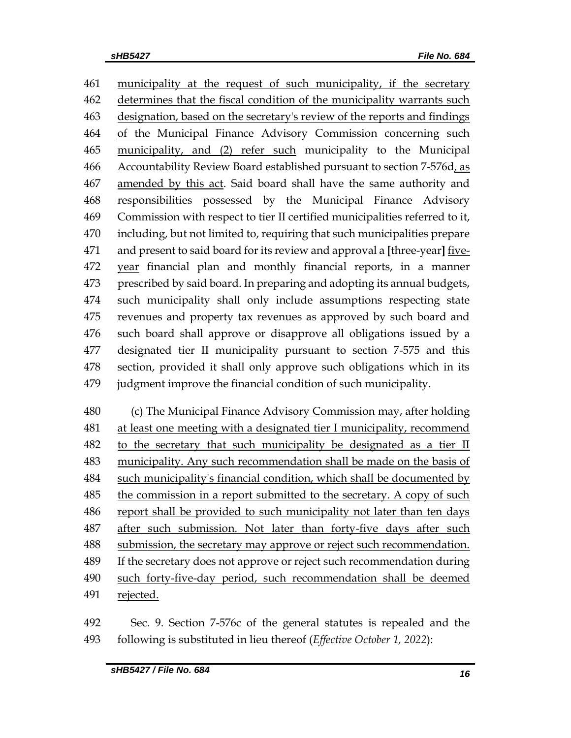municipality at the request of such municipality, if the secretary 462 determines that the fiscal condition of the municipality warrants such designation, based on the secretary's review of the reports and findings of the Municipal Finance Advisory Commission concerning such municipality, and (2) refer such municipality to the Municipal Accountability Review Board established pursuant to section 7-576d, as amended by this act. Said board shall have the same authority and responsibilities possessed by the Municipal Finance Advisory Commission with respect to tier II certified municipalities referred to it, including, but not limited to, requiring that such municipalities prepare and present to said board for its review and approval a **[**three-year**]** five- year financial plan and monthly financial reports, in a manner prescribed by said board. In preparing and adopting its annual budgets, such municipality shall only include assumptions respecting state revenues and property tax revenues as approved by such board and such board shall approve or disapprove all obligations issued by a designated tier II municipality pursuant to section 7-575 and this section, provided it shall only approve such obligations which in its judgment improve the financial condition of such municipality.

 (c) The Municipal Finance Advisory Commission may, after holding at least one meeting with a designated tier I municipality, recommend to the secretary that such municipality be designated as a tier II municipality. Any such recommendation shall be made on the basis of such municipality's financial condition, which shall be documented by 485 the commission in a report submitted to the secretary. A copy of such 486 report shall be provided to such municipality not later than ten days after such submission. Not later than forty-five days after such submission, the secretary may approve or reject such recommendation. If the secretary does not approve or reject such recommendation during 490 such forty-five-day period, such recommendation shall be deemed rejected.

 Sec. 9. Section 7-576c of the general statutes is repealed and the following is substituted in lieu thereof (*Effective October 1, 2022*):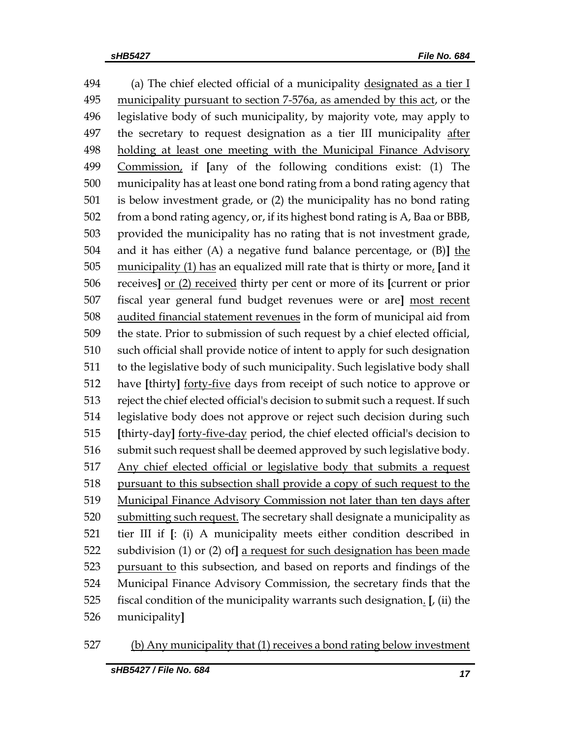494 (a) The chief elected official of a municipality designated as a tier I 495 municipality pursuant to section 7-576a, as amended by this act, or the legislative body of such municipality, by majority vote, may apply to the secretary to request designation as a tier III municipality after holding at least one meeting with the Municipal Finance Advisory Commission, if **[**any of the following conditions exist: (1) The municipality has at least one bond rating from a bond rating agency that is below investment grade, or (2) the municipality has no bond rating from a bond rating agency, or, if its highest bond rating is A, Baa or BBB, provided the municipality has no rating that is not investment grade, and it has either (A) a negative fund balance percentage, or (B)**]** the municipality (1) has an equalized mill rate that is thirty or more, **[**and it receives**]** or (2) received thirty per cent or more of its **[**current or prior fiscal year general fund budget revenues were or are**]** most recent audited financial statement revenues in the form of municipal aid from the state. Prior to submission of such request by a chief elected official, such official shall provide notice of intent to apply for such designation to the legislative body of such municipality. Such legislative body shall have **[**thirty**]** forty-five days from receipt of such notice to approve or reject the chief elected official's decision to submit such a request. If such legislative body does not approve or reject such decision during such **[**thirty-day**]** forty-five-day period, the chief elected official's decision to 516 submit such request shall be deemed approved by such legislative body. Any chief elected official or legislative body that submits a request pursuant to this subsection shall provide a copy of such request to the Municipal Finance Advisory Commission not later than ten days after 520 submitting such request. The secretary shall designate a municipality as tier III if **[**: (i) A municipality meets either condition described in subdivision (1) or (2) of**]** a request for such designation has been made pursuant to this subsection, and based on reports and findings of the Municipal Finance Advisory Commission, the secretary finds that the fiscal condition of the municipality warrants such designation. **[**, (ii) the municipality**]**

527 (b) Any municipality that (1) receives a bond rating below investment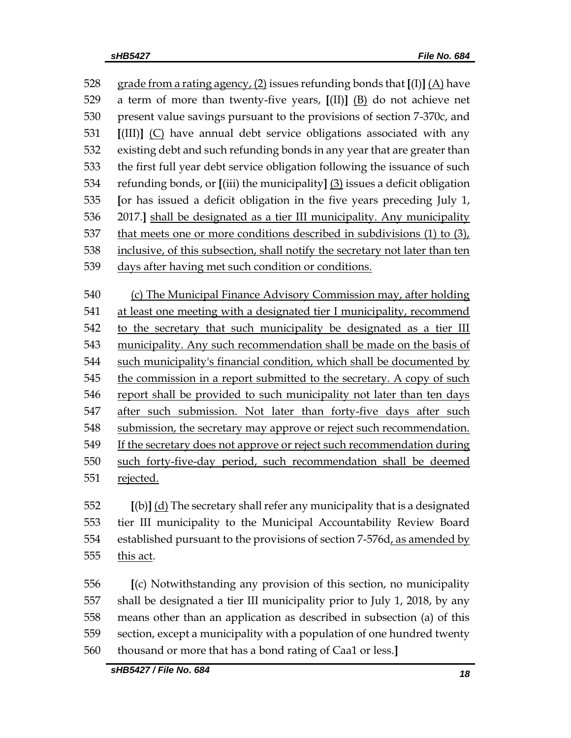528 grade from a rating agency,  $(2)$  issues refunding bonds that  $\Gamma(\text{I})$   $(A)$  have a term of more than twenty-five years, **[**(II)**]** (B) do not achieve net present value savings pursuant to the provisions of section 7-370c, and **[**(III)**]** (C) have annual debt service obligations associated with any existing debt and such refunding bonds in any year that are greater than the first full year debt service obligation following the issuance of such refunding bonds, or **[**(iii) the municipality**]** (3) issues a deficit obligation **[**or has issued a deficit obligation in the five years preceding July 1, 2017.**]** shall be designated as a tier III municipality. Any municipality that meets one or more conditions described in subdivisions (1) to (3), inclusive, of this subsection, shall notify the secretary not later than ten days after having met such condition or conditions. (c) The Municipal Finance Advisory Commission may, after holding at least one meeting with a designated tier I municipality, recommend 542 to the secretary that such municipality be designated as a tier III municipality. Any such recommendation shall be made on the basis of 544 such municipality's financial condition, which shall be documented by 545 the commission in a report submitted to the secretary. A copy of such report shall be provided to such municipality not later than ten days after such submission. Not later than forty-five days after such submission, the secretary may approve or reject such recommendation. If the secretary does not approve or reject such recommendation during

 such forty-five-day period, such recommendation shall be deemed rejected.

 **[**(b)**]** (d) The secretary shall refer any municipality that is a designated tier III municipality to the Municipal Accountability Review Board established pursuant to the provisions of section 7-576d, as amended by this act.

 **[**(c) Notwithstanding any provision of this section, no municipality shall be designated a tier III municipality prior to July 1, 2018, by any means other than an application as described in subsection (a) of this section, except a municipality with a population of one hundred twenty thousand or more that has a bond rating of Caa1 or less.**]**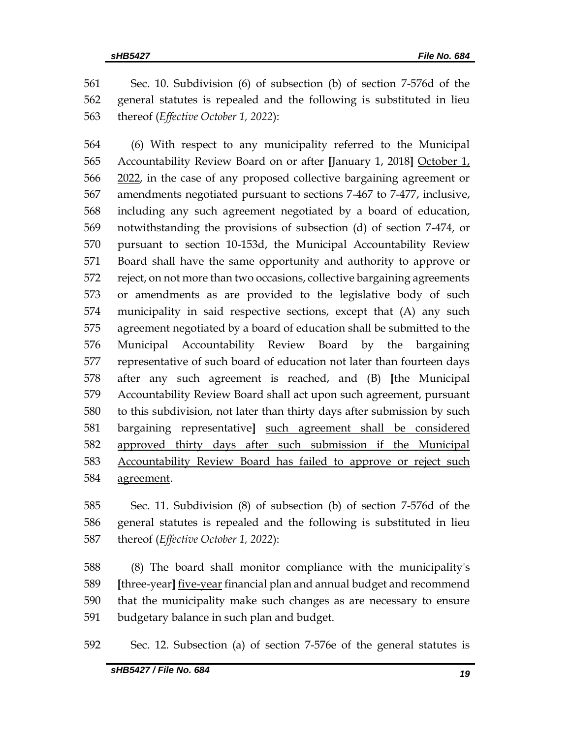Sec. 10. Subdivision (6) of subsection (b) of section 7-576d of the general statutes is repealed and the following is substituted in lieu thereof (*Effective October 1, 2022*):

 (6) With respect to any municipality referred to the Municipal Accountability Review Board on or after **[**January 1, 2018**]** October 1, 2022, in the case of any proposed collective bargaining agreement or amendments negotiated pursuant to sections 7-467 to 7-477, inclusive, including any such agreement negotiated by a board of education, notwithstanding the provisions of subsection (d) of section 7-474, or pursuant to section 10-153d, the Municipal Accountability Review Board shall have the same opportunity and authority to approve or reject, on not more than two occasions, collective bargaining agreements or amendments as are provided to the legislative body of such municipality in said respective sections, except that (A) any such agreement negotiated by a board of education shall be submitted to the Municipal Accountability Review Board by the bargaining representative of such board of education not later than fourteen days after any such agreement is reached, and (B) **[**the Municipal Accountability Review Board shall act upon such agreement, pursuant to this subdivision, not later than thirty days after submission by such bargaining representative**]** such agreement shall be considered approved thirty days after such submission if the Municipal Accountability Review Board has failed to approve or reject such agreement.

 Sec. 11. Subdivision (8) of subsection (b) of section 7-576d of the general statutes is repealed and the following is substituted in lieu thereof (*Effective October 1, 2022*):

 (8) The board shall monitor compliance with the municipality's **[**three-year**]** five-year financial plan and annual budget and recommend that the municipality make such changes as are necessary to ensure budgetary balance in such plan and budget.

Sec. 12. Subsection (a) of section 7-576e of the general statutes is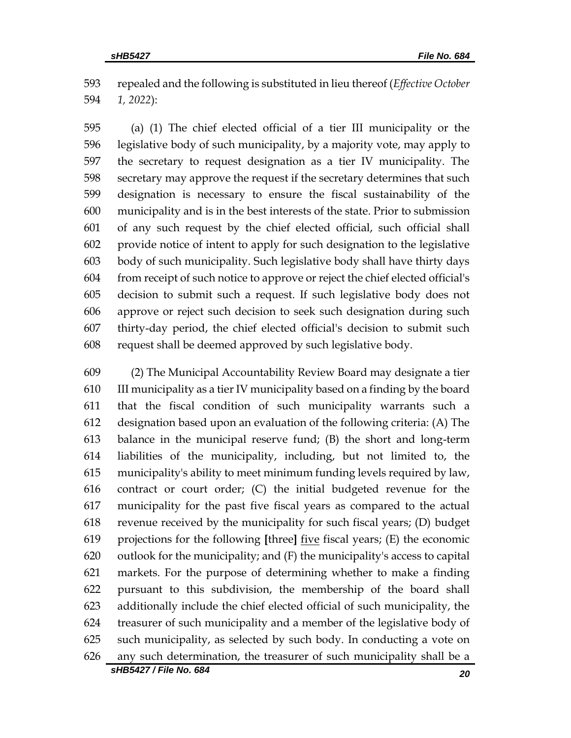repealed and the following is substituted in lieu thereof (*Effective October 1, 2022*):

 (a) (1) The chief elected official of a tier III municipality or the legislative body of such municipality, by a majority vote, may apply to the secretary to request designation as a tier IV municipality. The secretary may approve the request if the secretary determines that such designation is necessary to ensure the fiscal sustainability of the municipality and is in the best interests of the state. Prior to submission of any such request by the chief elected official, such official shall provide notice of intent to apply for such designation to the legislative body of such municipality. Such legislative body shall have thirty days from receipt of such notice to approve or reject the chief elected official's decision to submit such a request. If such legislative body does not approve or reject such decision to seek such designation during such thirty-day period, the chief elected official's decision to submit such request shall be deemed approved by such legislative body.

 (2) The Municipal Accountability Review Board may designate a tier III municipality as a tier IV municipality based on a finding by the board that the fiscal condition of such municipality warrants such a designation based upon an evaluation of the following criteria: (A) The balance in the municipal reserve fund; (B) the short and long-term liabilities of the municipality, including, but not limited to, the municipality's ability to meet minimum funding levels required by law, contract or court order; (C) the initial budgeted revenue for the municipality for the past five fiscal years as compared to the actual revenue received by the municipality for such fiscal years; (D) budget projections for the following **[**three**]** five fiscal years; (E) the economic outlook for the municipality; and (F) the municipality's access to capital markets. For the purpose of determining whether to make a finding pursuant to this subdivision, the membership of the board shall additionally include the chief elected official of such municipality, the treasurer of such municipality and a member of the legislative body of such municipality, as selected by such body. In conducting a vote on any such determination, the treasurer of such municipality shall be a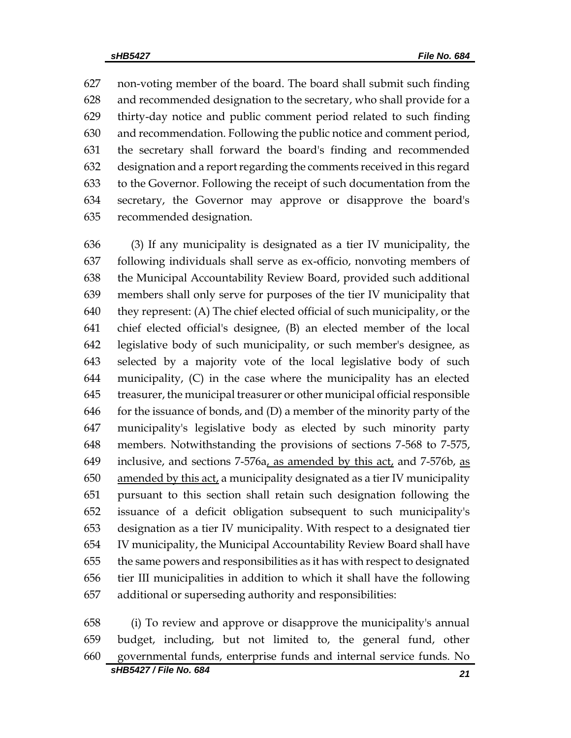non-voting member of the board. The board shall submit such finding and recommended designation to the secretary, who shall provide for a thirty-day notice and public comment period related to such finding and recommendation. Following the public notice and comment period, the secretary shall forward the board's finding and recommended designation and a report regarding the comments received in this regard to the Governor. Following the receipt of such documentation from the secretary, the Governor may approve or disapprove the board's recommended designation.

 (3) If any municipality is designated as a tier IV municipality, the following individuals shall serve as ex-officio, nonvoting members of the Municipal Accountability Review Board, provided such additional members shall only serve for purposes of the tier IV municipality that they represent: (A) The chief elected official of such municipality, or the chief elected official's designee, (B) an elected member of the local legislative body of such municipality, or such member's designee, as selected by a majority vote of the local legislative body of such municipality, (C) in the case where the municipality has an elected treasurer, the municipal treasurer or other municipal official responsible 646 for the issuance of bonds, and  $(D)$  a member of the minority party of the municipality's legislative body as elected by such minority party members. Notwithstanding the provisions of sections 7-568 to 7-575, 649 inclusive, and sections  $7-576a$ , as amended by this act, and  $7-576b$ , as amended by this act, a municipality designated as a tier IV municipality pursuant to this section shall retain such designation following the issuance of a deficit obligation subsequent to such municipality's designation as a tier IV municipality. With respect to a designated tier IV municipality, the Municipal Accountability Review Board shall have the same powers and responsibilities as it has with respect to designated tier III municipalities in addition to which it shall have the following additional or superseding authority and responsibilities:

 (i) To review and approve or disapprove the municipality's annual budget, including, but not limited to, the general fund, other governmental funds, enterprise funds and internal service funds. No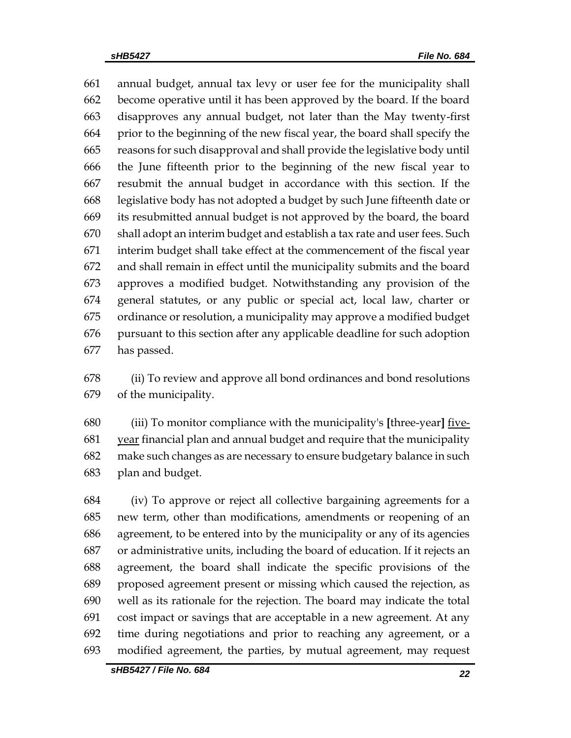annual budget, annual tax levy or user fee for the municipality shall become operative until it has been approved by the board. If the board disapproves any annual budget, not later than the May twenty-first prior to the beginning of the new fiscal year, the board shall specify the reasons for such disapproval and shall provide the legislative body until the June fifteenth prior to the beginning of the new fiscal year to resubmit the annual budget in accordance with this section. If the legislative body has not adopted a budget by such June fifteenth date or its resubmitted annual budget is not approved by the board, the board shall adopt an interim budget and establish a tax rate and user fees. Such interim budget shall take effect at the commencement of the fiscal year and shall remain in effect until the municipality submits and the board approves a modified budget. Notwithstanding any provision of the general statutes, or any public or special act, local law, charter or ordinance or resolution, a municipality may approve a modified budget pursuant to this section after any applicable deadline for such adoption has passed.

 (ii) To review and approve all bond ordinances and bond resolutions of the municipality.

 (iii) To monitor compliance with the municipality's **[**three-year**]** five-681 year financial plan and annual budget and require that the municipality make such changes as are necessary to ensure budgetary balance in such plan and budget.

 (iv) To approve or reject all collective bargaining agreements for a new term, other than modifications, amendments or reopening of an agreement, to be entered into by the municipality or any of its agencies or administrative units, including the board of education. If it rejects an agreement, the board shall indicate the specific provisions of the proposed agreement present or missing which caused the rejection, as well as its rationale for the rejection. The board may indicate the total cost impact or savings that are acceptable in a new agreement. At any time during negotiations and prior to reaching any agreement, or a modified agreement, the parties, by mutual agreement, may request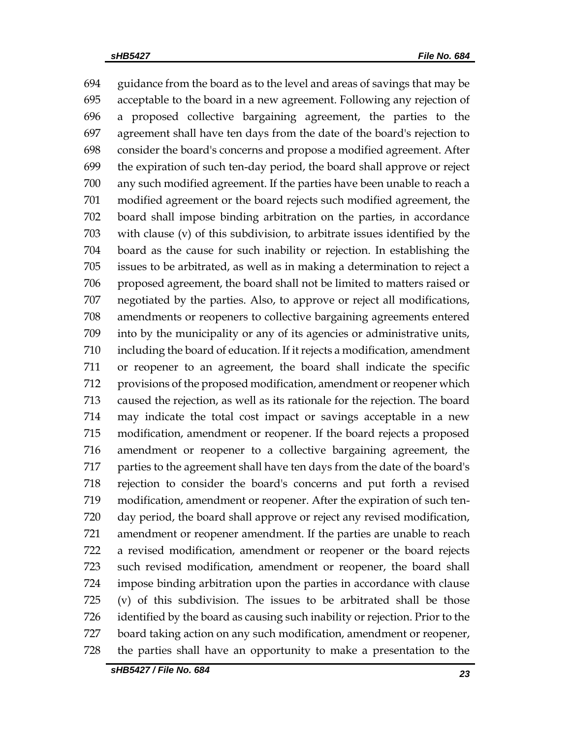guidance from the board as to the level and areas of savings that may be acceptable to the board in a new agreement. Following any rejection of a proposed collective bargaining agreement, the parties to the agreement shall have ten days from the date of the board's rejection to consider the board's concerns and propose a modified agreement. After the expiration of such ten-day period, the board shall approve or reject any such modified agreement. If the parties have been unable to reach a modified agreement or the board rejects such modified agreement, the board shall impose binding arbitration on the parties, in accordance with clause (v) of this subdivision, to arbitrate issues identified by the board as the cause for such inability or rejection. In establishing the issues to be arbitrated, as well as in making a determination to reject a proposed agreement, the board shall not be limited to matters raised or negotiated by the parties. Also, to approve or reject all modifications, amendments or reopeners to collective bargaining agreements entered into by the municipality or any of its agencies or administrative units, including the board of education. If it rejects a modification, amendment or reopener to an agreement, the board shall indicate the specific provisions of the proposed modification, amendment or reopener which caused the rejection, as well as its rationale for the rejection. The board may indicate the total cost impact or savings acceptable in a new modification, amendment or reopener. If the board rejects a proposed amendment or reopener to a collective bargaining agreement, the parties to the agreement shall have ten days from the date of the board's rejection to consider the board's concerns and put forth a revised modification, amendment or reopener. After the expiration of such ten- day period, the board shall approve or reject any revised modification, amendment or reopener amendment. If the parties are unable to reach a revised modification, amendment or reopener or the board rejects such revised modification, amendment or reopener, the board shall impose binding arbitration upon the parties in accordance with clause (v) of this subdivision. The issues to be arbitrated shall be those identified by the board as causing such inability or rejection. Prior to the board taking action on any such modification, amendment or reopener, the parties shall have an opportunity to make a presentation to the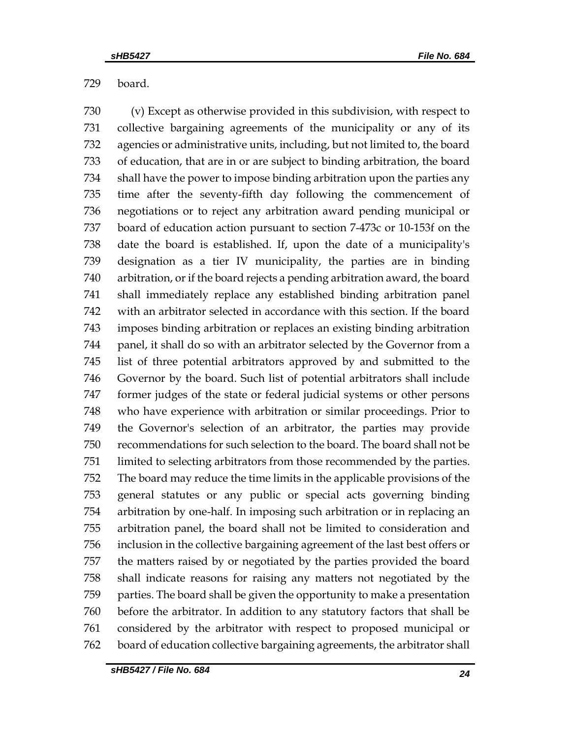board.

 (v) Except as otherwise provided in this subdivision, with respect to collective bargaining agreements of the municipality or any of its agencies or administrative units, including, but not limited to, the board of education, that are in or are subject to binding arbitration, the board shall have the power to impose binding arbitration upon the parties any time after the seventy-fifth day following the commencement of negotiations or to reject any arbitration award pending municipal or board of education action pursuant to section 7-473c or 10-153f on the date the board is established. If, upon the date of a municipality's designation as a tier IV municipality, the parties are in binding arbitration, or if the board rejects a pending arbitration award, the board shall immediately replace any established binding arbitration panel with an arbitrator selected in accordance with this section. If the board imposes binding arbitration or replaces an existing binding arbitration panel, it shall do so with an arbitrator selected by the Governor from a list of three potential arbitrators approved by and submitted to the Governor by the board. Such list of potential arbitrators shall include former judges of the state or federal judicial systems or other persons who have experience with arbitration or similar proceedings. Prior to the Governor's selection of an arbitrator, the parties may provide recommendations for such selection to the board. The board shall not be limited to selecting arbitrators from those recommended by the parties. The board may reduce the time limits in the applicable provisions of the general statutes or any public or special acts governing binding arbitration by one-half. In imposing such arbitration or in replacing an arbitration panel, the board shall not be limited to consideration and inclusion in the collective bargaining agreement of the last best offers or the matters raised by or negotiated by the parties provided the board shall indicate reasons for raising any matters not negotiated by the parties. The board shall be given the opportunity to make a presentation before the arbitrator. In addition to any statutory factors that shall be considered by the arbitrator with respect to proposed municipal or board of education collective bargaining agreements, the arbitrator shall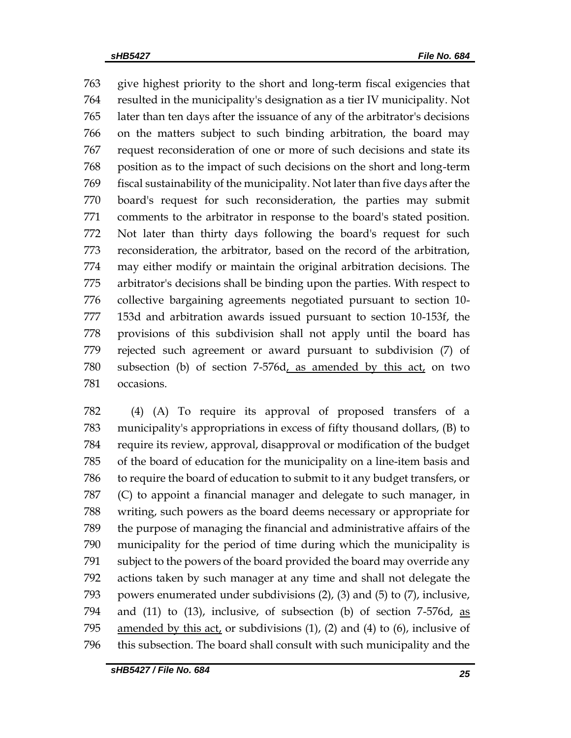give highest priority to the short and long-term fiscal exigencies that resulted in the municipality's designation as a tier IV municipality. Not later than ten days after the issuance of any of the arbitrator's decisions on the matters subject to such binding arbitration, the board may request reconsideration of one or more of such decisions and state its position as to the impact of such decisions on the short and long-term fiscal sustainability of the municipality. Not later than five days after the board's request for such reconsideration, the parties may submit comments to the arbitrator in response to the board's stated position. Not later than thirty days following the board's request for such reconsideration, the arbitrator, based on the record of the arbitration, may either modify or maintain the original arbitration decisions. The arbitrator's decisions shall be binding upon the parties. With respect to collective bargaining agreements negotiated pursuant to section 10- 153d and arbitration awards issued pursuant to section 10-153f, the provisions of this subdivision shall not apply until the board has rejected such agreement or award pursuant to subdivision (7) of subsection (b) of section 7-576d, as amended by this act, on two occasions.

 (4) (A) To require its approval of proposed transfers of a municipality's appropriations in excess of fifty thousand dollars, (B) to require its review, approval, disapproval or modification of the budget of the board of education for the municipality on a line-item basis and to require the board of education to submit to it any budget transfers, or (C) to appoint a financial manager and delegate to such manager, in writing, such powers as the board deems necessary or appropriate for the purpose of managing the financial and administrative affairs of the municipality for the period of time during which the municipality is subject to the powers of the board provided the board may override any actions taken by such manager at any time and shall not delegate the powers enumerated under subdivisions (2), (3) and (5) to (7), inclusive, and (11) to (13), inclusive, of subsection (b) of section 7-576d, as amended by this act, or subdivisions (1), (2) and (4) to (6), inclusive of this subsection. The board shall consult with such municipality and the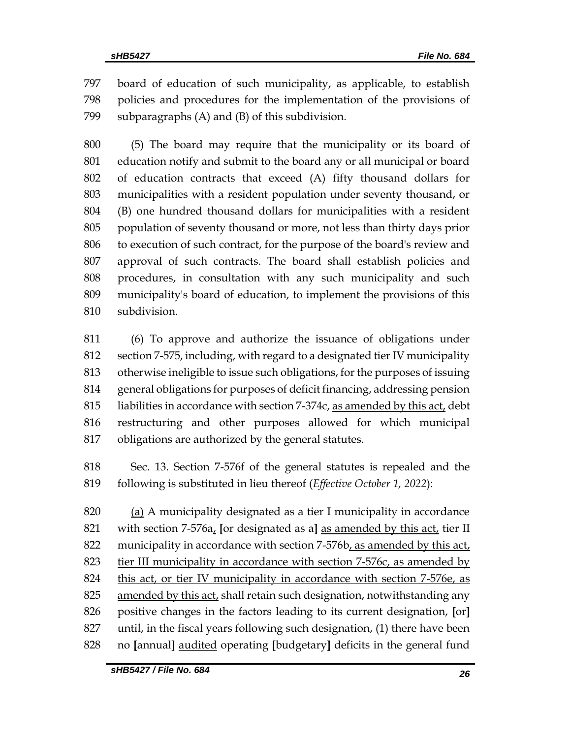board of education of such municipality, as applicable, to establish policies and procedures for the implementation of the provisions of subparagraphs (A) and (B) of this subdivision.

 (5) The board may require that the municipality or its board of education notify and submit to the board any or all municipal or board of education contracts that exceed (A) fifty thousand dollars for municipalities with a resident population under seventy thousand, or (B) one hundred thousand dollars for municipalities with a resident population of seventy thousand or more, not less than thirty days prior to execution of such contract, for the purpose of the board's review and approval of such contracts. The board shall establish policies and procedures, in consultation with any such municipality and such municipality's board of education, to implement the provisions of this subdivision.

 (6) To approve and authorize the issuance of obligations under section 7-575, including, with regard to a designated tier IV municipality otherwise ineligible to issue such obligations, for the purposes of issuing general obligations for purposes of deficit financing, addressing pension liabilities in accordance with section 7-374c, as amended by this act, debt restructuring and other purposes allowed for which municipal obligations are authorized by the general statutes.

 Sec. 13. Section 7-576f of the general statutes is repealed and the following is substituted in lieu thereof (*Effective October 1, 2022*):

 (a) A municipality designated as a tier I municipality in accordance with section 7-576a, **[**or designated as a**]** as amended by this act, tier II municipality in accordance with section 7-576b, as amended by this act, tier III municipality in accordance with section 7-576c, as amended by 824 this act, or tier IV municipality in accordance with section 7-576e, as amended by this act, shall retain such designation, notwithstanding any positive changes in the factors leading to its current designation, **[**or**]** until, in the fiscal years following such designation, (1) there have been no **[**annual**]** audited operating **[**budgetary**]** deficits in the general fund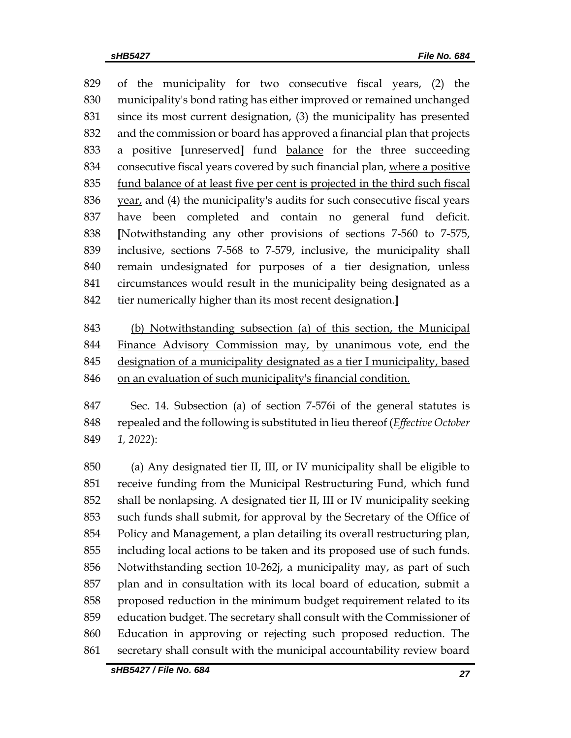of the municipality for two consecutive fiscal years, (2) the municipality's bond rating has either improved or remained unchanged since its most current designation, (3) the municipality has presented and the commission or board has approved a financial plan that projects a positive **[**unreserved**]** fund balance for the three succeeding consecutive fiscal years covered by such financial plan, where a positive fund balance of at least five per cent is projected in the third such fiscal year, and (4) the municipality's audits for such consecutive fiscal years have been completed and contain no general fund deficit. **[**Notwithstanding any other provisions of sections 7-560 to 7-575, inclusive, sections 7-568 to 7-579, inclusive, the municipality shall remain undesignated for purposes of a tier designation, unless circumstances would result in the municipality being designated as a tier numerically higher than its most recent designation.**]**

 (b) Notwithstanding subsection (a) of this section, the Municipal Finance Advisory Commission may, by unanimous vote, end the designation of a municipality designated as a tier I municipality, based on an evaluation of such municipality's financial condition.

 Sec. 14. Subsection (a) of section 7-576i of the general statutes is repealed and the following is substituted in lieu thereof (*Effective October 1, 2022*):

 (a) Any designated tier II, III, or IV municipality shall be eligible to receive funding from the Municipal Restructuring Fund, which fund shall be nonlapsing. A designated tier II, III or IV municipality seeking such funds shall submit, for approval by the Secretary of the Office of Policy and Management, a plan detailing its overall restructuring plan, including local actions to be taken and its proposed use of such funds. Notwithstanding section 10-262j, a municipality may, as part of such plan and in consultation with its local board of education, submit a proposed reduction in the minimum budget requirement related to its education budget. The secretary shall consult with the Commissioner of Education in approving or rejecting such proposed reduction. The secretary shall consult with the municipal accountability review board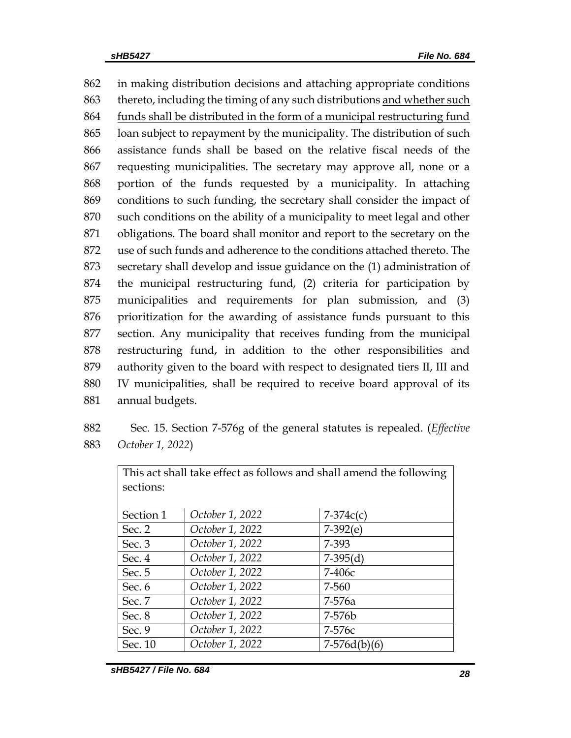in making distribution decisions and attaching appropriate conditions 863 thereto, including the timing of any such distributions and whether such funds shall be distributed in the form of a municipal restructuring fund loan subject to repayment by the municipality. The distribution of such assistance funds shall be based on the relative fiscal needs of the requesting municipalities. The secretary may approve all, none or a portion of the funds requested by a municipality. In attaching conditions to such funding, the secretary shall consider the impact of such conditions on the ability of a municipality to meet legal and other obligations. The board shall monitor and report to the secretary on the use of such funds and adherence to the conditions attached thereto. The secretary shall develop and issue guidance on the (1) administration of the municipal restructuring fund, (2) criteria for participation by municipalities and requirements for plan submission, and (3) prioritization for the awarding of assistance funds pursuant to this section. Any municipality that receives funding from the municipal restructuring fund, in addition to the other responsibilities and authority given to the board with respect to designated tiers II, III and IV municipalities, shall be required to receive board approval of its annual budgets.

882 Sec. 15. Section 7-576g of the general statutes is repealed. (*Effective*  883 *October 1, 2022*)

| This act shall take effect as follows and shall amend the following |                 |                |  |  |  |  |
|---------------------------------------------------------------------|-----------------|----------------|--|--|--|--|
| sections:                                                           |                 |                |  |  |  |  |
|                                                                     |                 |                |  |  |  |  |
| Section 1                                                           | October 1, 2022 | $7-374c(c)$    |  |  |  |  |
| Sec. 2                                                              | October 1, 2022 | $7-392(e)$     |  |  |  |  |
| Sec. $3$                                                            | October 1, 2022 | 7-393          |  |  |  |  |
| Sec. 4                                                              | October 1, 2022 | $7-395(d)$     |  |  |  |  |
| Sec. 5                                                              | October 1, 2022 | $7-406c$       |  |  |  |  |
| Sec. 6                                                              | October 1, 2022 | 7-560          |  |  |  |  |
| Sec. 7                                                              | October 1, 2022 | 7-576a         |  |  |  |  |
| Sec. 8                                                              | October 1, 2022 | 7-576b         |  |  |  |  |
| Sec. 9                                                              | October 1, 2022 | 7-576с         |  |  |  |  |
| Sec. 10                                                             | October 1, 2022 | $7-576d(b)(6)$ |  |  |  |  |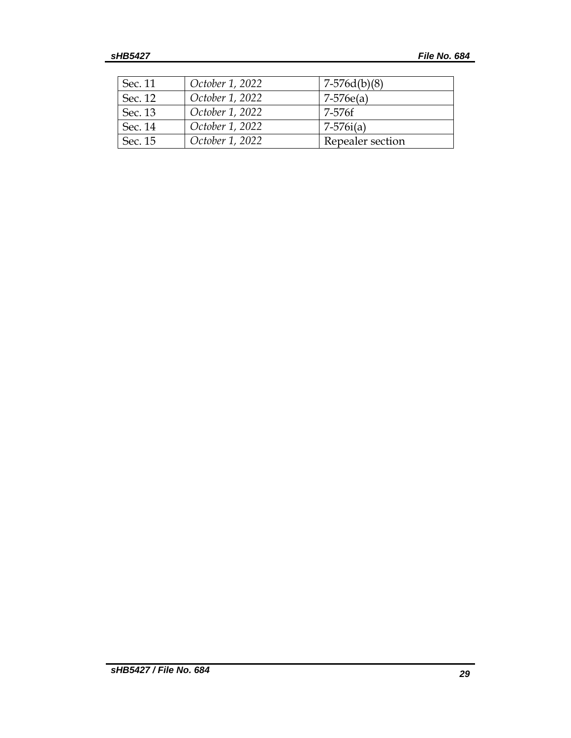| Sec. 11 | October 1, 2022 | $7-576d(b)(8)$   |
|---------|-----------------|------------------|
| Sec. 12 | October 1, 2022 | $7-576e(a)$      |
| Sec. 13 | October 1, 2022 | 7-576f           |
| Sec. 14 | October 1, 2022 | $7 - 576i(a)$    |
| Sec. 15 | October 1, 2022 | Repealer section |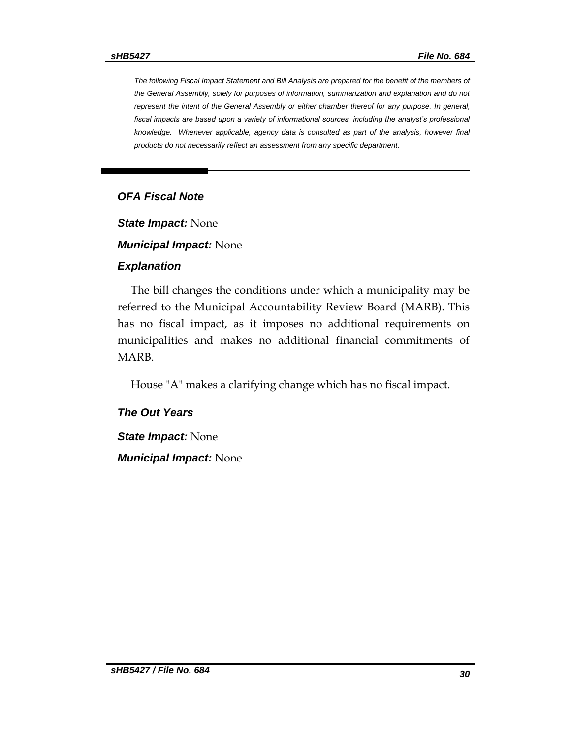*The following Fiscal Impact Statement and Bill Analysis are prepared for the benefit of the members of the General Assembly, solely for purposes of information, summarization and explanation and do not represent the intent of the General Assembly or either chamber thereof for any purpose. In general,*  fiscal impacts are based upon a variety of informational sources, including the analyst's professional *knowledge. Whenever applicable, agency data is consulted as part of the analysis, however final products do not necessarily reflect an assessment from any specific department.*

### *OFA Fiscal Note*

*State Impact:* None

*Municipal Impact:* None

#### *Explanation*

The bill changes the conditions under which a municipality may be referred to the Municipal Accountability Review Board (MARB). This has no fiscal impact, as it imposes no additional requirements on municipalities and makes no additional financial commitments of MARB.

House "A" makes a clarifying change which has no fiscal impact.

#### *The Out Years*

*State Impact:* None

*Municipal Impact:* None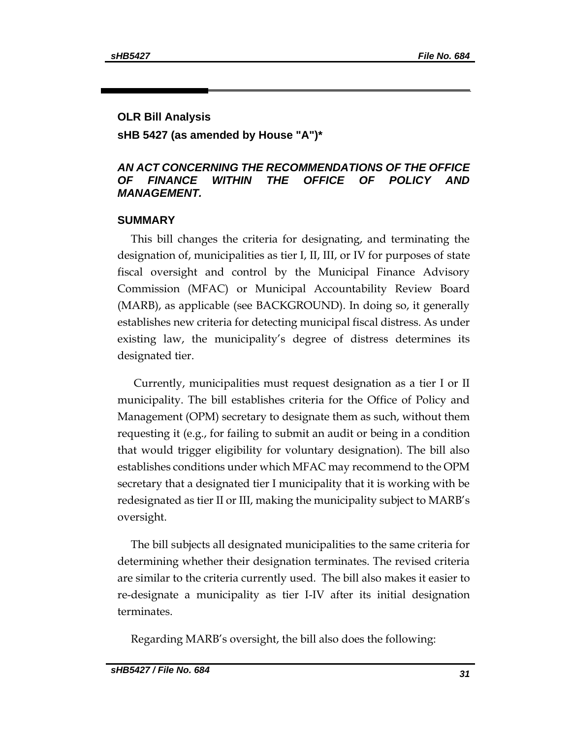### **OLR Bill Analysis**

**sHB 5427 (as amended by House "A")\***

### *AN ACT CONCERNING THE RECOMMENDATIONS OF THE OFFICE OF FINANCE WITHIN THE OFFICE OF POLICY AND MANAGEMENT.*

### **SUMMARY**

This bill changes the criteria for designating, and terminating the designation of, municipalities as tier I, II, III, or IV for purposes of state fiscal oversight and control by the Municipal Finance Advisory Commission (MFAC) or Municipal Accountability Review Board (MARB), as applicable (see BACKGROUND). In doing so, it generally establishes new criteria for detecting municipal fiscal distress. As under existing law, the municipality's degree of distress determines its designated tier.

Currently, municipalities must request designation as a tier I or II municipality. The bill establishes criteria for the Office of Policy and Management (OPM) secretary to designate them as such, without them requesting it (e.g., for failing to submit an audit or being in a condition that would trigger eligibility for voluntary designation). The bill also establishes conditions under which MFAC may recommend to the OPM secretary that a designated tier I municipality that it is working with be redesignated as tier II or III, making the municipality subject to MARB's oversight.

The bill subjects all designated municipalities to the same criteria for determining whether their designation terminates. The revised criteria are similar to the criteria currently used. The bill also makes it easier to re-designate a municipality as tier I-IV after its initial designation terminates.

Regarding MARB's oversight, the bill also does the following: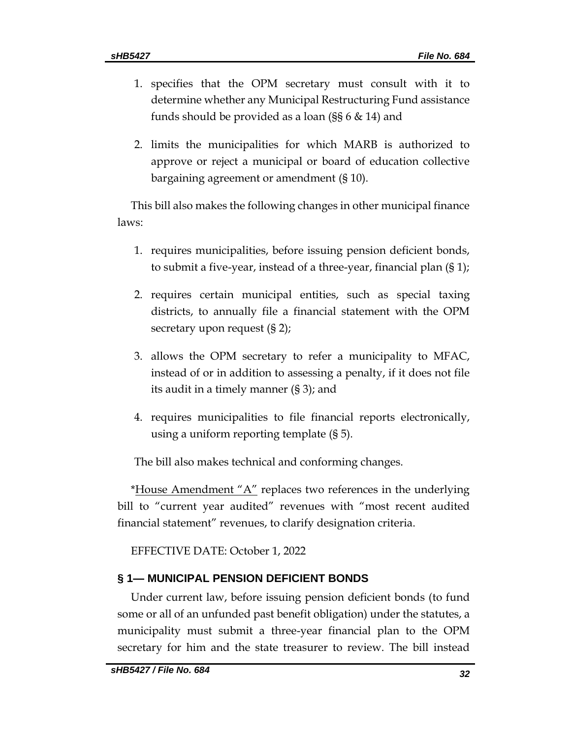- 1. specifies that the OPM secretary must consult with it to determine whether any Municipal Restructuring Fund assistance funds should be provided as a loan (§§ 6 & 14) and
- 2. limits the municipalities for which MARB is authorized to approve or reject a municipal or board of education collective bargaining agreement or amendment (§ 10).

This bill also makes the following changes in other municipal finance laws:

- 1. requires municipalities, before issuing pension deficient bonds, to submit a five-year, instead of a three-year, financial plan (§ 1);
- 2. requires certain municipal entities, such as special taxing districts, to annually file a financial statement with the OPM secretary upon request (§ 2);
- 3. allows the OPM secretary to refer a municipality to MFAC, instead of or in addition to assessing a penalty, if it does not file its audit in a timely manner (§ 3); and
- 4. requires municipalities to file financial reports electronically, using a uniform reporting template (§ 5).

The bill also makes technical and conforming changes.

\*House Amendment "A" replaces two references in the underlying bill to "current year audited" revenues with "most recent audited financial statement" revenues, to clarify designation criteria.

EFFECTIVE DATE: October 1, 2022

# **§ 1— MUNICIPAL PENSION DEFICIENT BONDS**

Under current law, before issuing pension deficient bonds (to fund some or all of an unfunded past benefit obligation) under the statutes, a municipality must submit a three-year financial plan to the OPM secretary for him and the state treasurer to review. The bill instead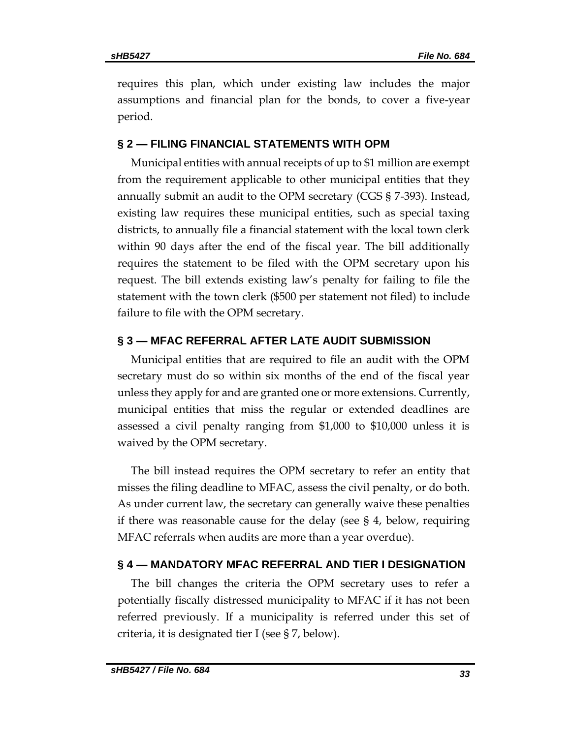requires this plan, which under existing law includes the major assumptions and financial plan for the bonds, to cover a five-year period.

### **§ 2 — FILING FINANCIAL STATEMENTS WITH OPM**

Municipal entities with annual receipts of up to \$1 million are exempt from the requirement applicable to other municipal entities that they annually submit an audit to the OPM secretary (CGS § 7-393). Instead, existing law requires these municipal entities, such as special taxing districts, to annually file a financial statement with the local town clerk within 90 days after the end of the fiscal year. The bill additionally requires the statement to be filed with the OPM secretary upon his request. The bill extends existing law's penalty for failing to file the statement with the town clerk (\$500 per statement not filed) to include failure to file with the OPM secretary.

### **§ 3 — MFAC REFERRAL AFTER LATE AUDIT SUBMISSION**

Municipal entities that are required to file an audit with the OPM secretary must do so within six months of the end of the fiscal year unless they apply for and are granted one or more extensions. Currently, municipal entities that miss the regular or extended deadlines are assessed a civil penalty ranging from \$1,000 to \$10,000 unless it is waived by the OPM secretary.

The bill instead requires the OPM secretary to refer an entity that misses the filing deadline to MFAC, assess the civil penalty, or do both. As under current law, the secretary can generally waive these penalties if there was reasonable cause for the delay (see § 4, below, requiring MFAC referrals when audits are more than a year overdue).

### **§ 4 — MANDATORY MFAC REFERRAL AND TIER I DESIGNATION**

The bill changes the criteria the OPM secretary uses to refer a potentially fiscally distressed municipality to MFAC if it has not been referred previously. If a municipality is referred under this set of criteria, it is designated tier I (see § 7, below).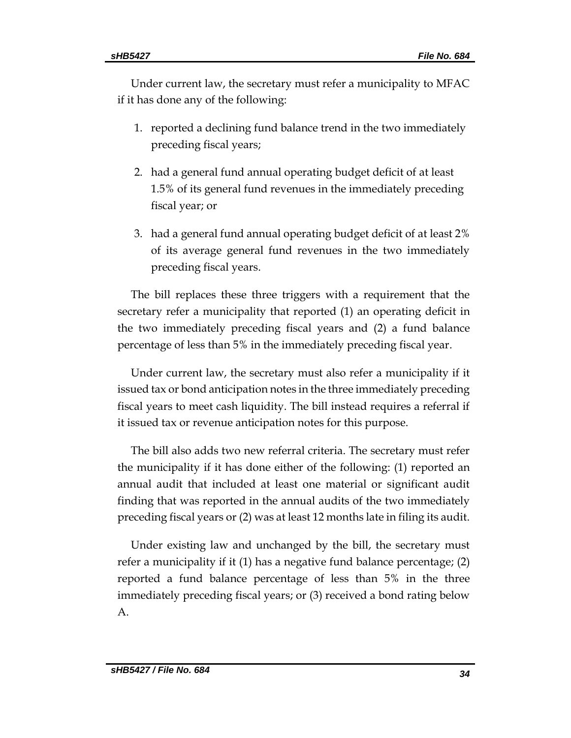Under current law, the secretary must refer a municipality to MFAC if it has done any of the following:

- 1. reported a declining fund balance trend in the two immediately preceding fiscal years;
- 2. had a general fund annual operating budget deficit of at least 1.5% of its general fund revenues in the immediately preceding fiscal year; or
- 3. had a general fund annual operating budget deficit of at least 2% of its average general fund revenues in the two immediately preceding fiscal years.

The bill replaces these three triggers with a requirement that the secretary refer a municipality that reported (1) an operating deficit in the two immediately preceding fiscal years and (2) a fund balance percentage of less than 5% in the immediately preceding fiscal year.

Under current law, the secretary must also refer a municipality if it issued tax or bond anticipation notes in the three immediately preceding fiscal years to meet cash liquidity. The bill instead requires a referral if it issued tax or revenue anticipation notes for this purpose.

The bill also adds two new referral criteria. The secretary must refer the municipality if it has done either of the following: (1) reported an annual audit that included at least one material or significant audit finding that was reported in the annual audits of the two immediately preceding fiscal years or (2) was at least 12 months late in filing its audit.

Under existing law and unchanged by the bill, the secretary must refer a municipality if it (1) has a negative fund balance percentage; (2) reported a fund balance percentage of less than 5% in the three immediately preceding fiscal years; or (3) received a bond rating below A.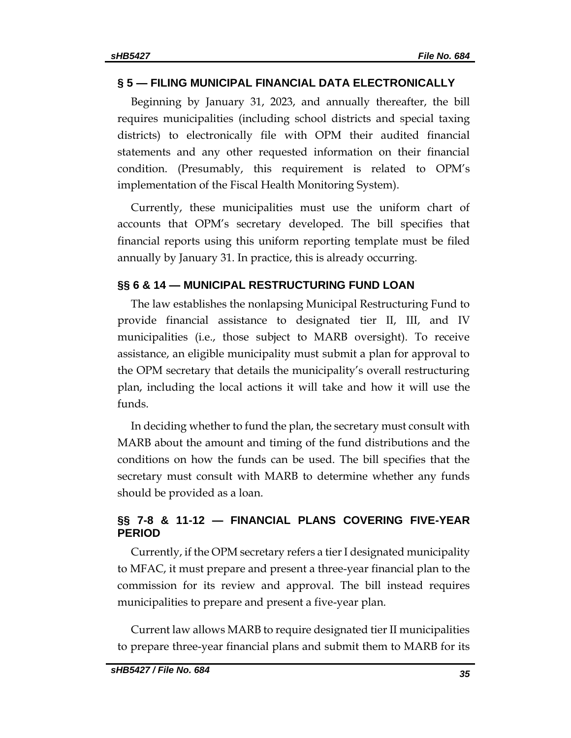### **§ 5 — FILING MUNICIPAL FINANCIAL DATA ELECTRONICALLY**

Beginning by January 31, 2023, and annually thereafter, the bill requires municipalities (including school districts and special taxing districts) to electronically file with OPM their audited financial statements and any other requested information on their financial condition. (Presumably, this requirement is related to OPM's implementation of the Fiscal Health Monitoring System).

Currently, these municipalities must use the uniform chart of accounts that OPM's secretary developed. The bill specifies that financial reports using this uniform reporting template must be filed annually by January 31. In practice, this is already occurring.

### **§§ 6 & 14 — MUNICIPAL RESTRUCTURING FUND LOAN**

The law establishes the nonlapsing Municipal Restructuring Fund to provide financial assistance to designated tier II, III, and IV municipalities (i.e., those subject to MARB oversight). To receive assistance, an eligible municipality must submit a plan for approval to the OPM secretary that details the municipality's overall restructuring plan, including the local actions it will take and how it will use the funds.

In deciding whether to fund the plan, the secretary must consult with MARB about the amount and timing of the fund distributions and the conditions on how the funds can be used. The bill specifies that the secretary must consult with MARB to determine whether any funds should be provided as a loan.

# **§§ 7-8 & 11-12 — FINANCIAL PLANS COVERING FIVE-YEAR PERIOD**

Currently, if the OPM secretary refers a tier I designated municipality to MFAC, it must prepare and present a three-year financial plan to the commission for its review and approval. The bill instead requires municipalities to prepare and present a five-year plan.

Current law allows MARB to require designated tier II municipalities to prepare three-year financial plans and submit them to MARB for its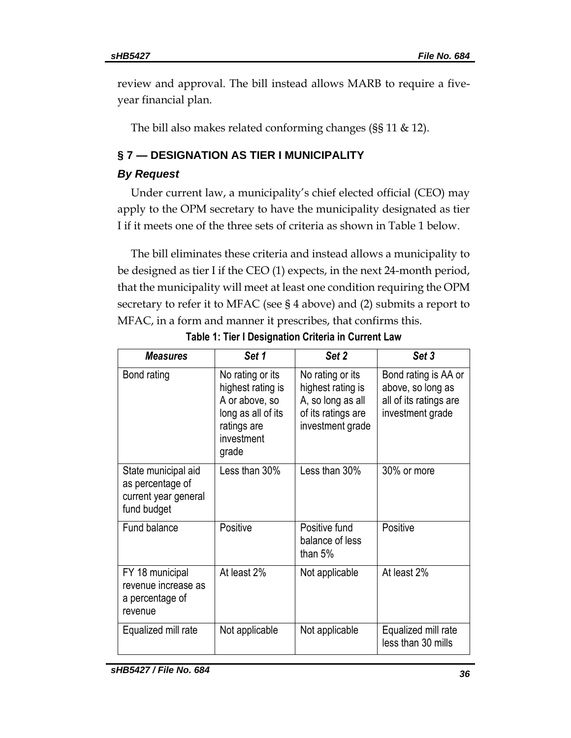review and approval. The bill instead allows MARB to require a fiveyear financial plan.

The bill also makes related conforming changes (§§ 11 & 12).

# **§ 7 — DESIGNATION AS TIER I MUNICIPALITY**

# *By Request*

Under current law, a municipality's chief elected official (CEO) may apply to the OPM secretary to have the municipality designated as tier I if it meets one of the three sets of criteria as shown in Table 1 below.

The bill eliminates these criteria and instead allows a municipality to be designed as tier I if the CEO (1) expects, in the next 24-month period, that the municipality will meet at least one condition requiring the OPM secretary to refer it to MFAC (see § 4 above) and (2) submits a report to MFAC, in a form and manner it prescribes, that confirms this.

| <b>Measures</b>                                                                | Set 1                                                                                                               | Set <sub>2</sub>                                                                                     | Set 3                                                                                   |
|--------------------------------------------------------------------------------|---------------------------------------------------------------------------------------------------------------------|------------------------------------------------------------------------------------------------------|-----------------------------------------------------------------------------------------|
| Bond rating                                                                    | No rating or its<br>highest rating is<br>A or above, so<br>long as all of its<br>ratings are<br>investment<br>grade | No rating or its<br>highest rating is<br>A, so long as all<br>of its ratings are<br>investment grade | Bond rating is AA or<br>above, so long as<br>all of its ratings are<br>investment grade |
| State municipal aid<br>as percentage of<br>current year general<br>fund budget | Less than 30%                                                                                                       | Less than 30%                                                                                        | 30% or more                                                                             |
| Fund balance                                                                   | Positive                                                                                                            | Positive fund<br>balance of less<br>than 5%                                                          | Positive                                                                                |
| FY 18 municipal<br>revenue increase as<br>a percentage of<br>revenue           | At least 2%                                                                                                         | Not applicable                                                                                       | At least 2%                                                                             |
| Equalized mill rate                                                            | Not applicable                                                                                                      | Not applicable                                                                                       | Equalized mill rate<br>less than 30 mills                                               |

**Table 1: Tier I Designation Criteria in Current Law**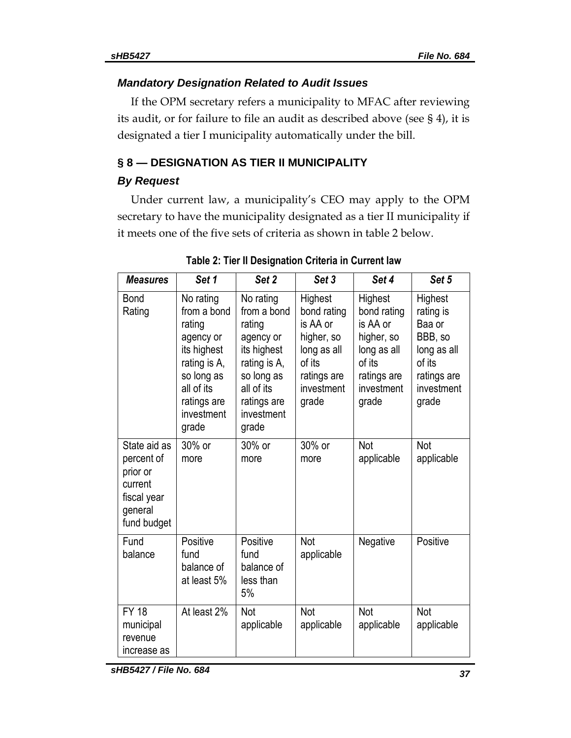### *Mandatory Designation Related to Audit Issues*

If the OPM secretary refers a municipality to MFAC after reviewing its audit, or for failure to file an audit as described above (see § 4), it is designated a tier I municipality automatically under the bill.

# **§ 8 — DESIGNATION AS TIER II MUNICIPALITY**

# *By Request*

Under current law, a municipality's CEO may apply to the OPM secretary to have the municipality designated as a tier II municipality if it meets one of the five sets of criteria as shown in table 2 below.

| <b>Measures</b>                                                                            | Set 1                                                                                                                                            | Set 2                                                                                                                                            | Set 3                                                                                                           | Set 4                                                                                                           | Set 5                                                                                                    |
|--------------------------------------------------------------------------------------------|--------------------------------------------------------------------------------------------------------------------------------------------------|--------------------------------------------------------------------------------------------------------------------------------------------------|-----------------------------------------------------------------------------------------------------------------|-----------------------------------------------------------------------------------------------------------------|----------------------------------------------------------------------------------------------------------|
| <b>Bond</b><br>Rating                                                                      | No rating<br>from a bond<br>rating<br>agency or<br>its highest<br>rating is A,<br>so long as<br>all of its<br>ratings are<br>investment<br>grade | No rating<br>from a bond<br>rating<br>agency or<br>its highest<br>rating is A,<br>so long as<br>all of its<br>ratings are<br>investment<br>grade | Highest<br>bond rating<br>is AA or<br>higher, so<br>long as all<br>of its<br>ratings are<br>investment<br>grade | Highest<br>bond rating<br>is AA or<br>higher, so<br>long as all<br>of its<br>ratings are<br>investment<br>grade | Highest<br>rating is<br>Baa or<br>BBB, so<br>long as all<br>of its<br>ratings are<br>investment<br>grade |
| State aid as<br>percent of<br>prior or<br>current<br>fiscal year<br>general<br>fund budget | 30% or<br>more                                                                                                                                   | 30% or<br>more                                                                                                                                   | 30% or<br>more                                                                                                  | Not<br>applicable                                                                                               | Not<br>applicable                                                                                        |
| Fund<br>balance                                                                            | Positive<br>fund<br>balance of<br>at least 5%                                                                                                    | Positive<br>fund<br>balance of<br>less than<br>5%                                                                                                | Not<br>applicable                                                                                               | Negative                                                                                                        | Positive                                                                                                 |
| <b>FY 18</b><br>municipal<br>revenue<br>increase as                                        | At least 2%                                                                                                                                      | Not<br>applicable                                                                                                                                | Not<br>applicable                                                                                               | Not<br>applicable                                                                                               | <b>Not</b><br>applicable                                                                                 |

**Table 2: Tier II Designation Criteria in Current law**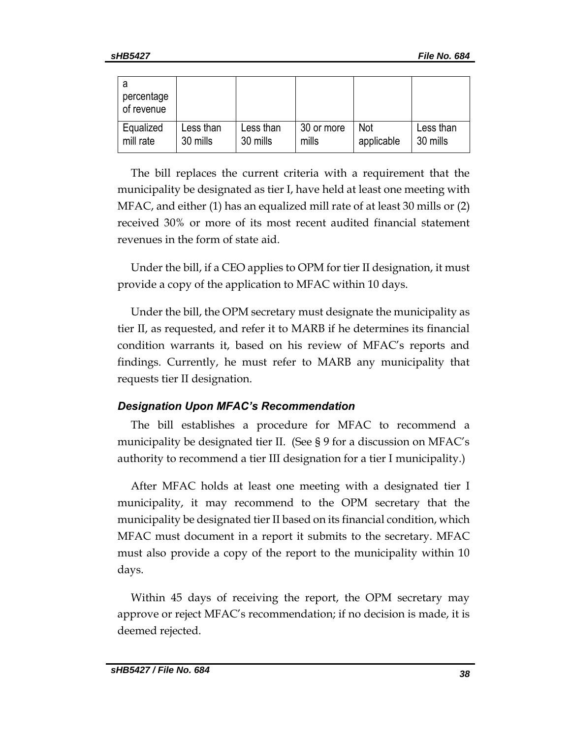| percentage<br>of revenue |           |           |            |            |           |
|--------------------------|-----------|-----------|------------|------------|-----------|
| Equalized                | Less than | Less than | 30 or more | <b>Not</b> | Less than |
| mill rate                | 30 mills  | 30 mills  | mills      | applicable | 30 mills  |

The bill replaces the current criteria with a requirement that the municipality be designated as tier I, have held at least one meeting with MFAC, and either (1) has an equalized mill rate of at least 30 mills or (2) received 30% or more of its most recent audited financial statement revenues in the form of state aid.

Under the bill, if a CEO applies to OPM for tier II designation, it must provide a copy of the application to MFAC within 10 days.

Under the bill, the OPM secretary must designate the municipality as tier II, as requested, and refer it to MARB if he determines its financial condition warrants it, based on his review of MFAC's reports and findings. Currently, he must refer to MARB any municipality that requests tier II designation.

# *Designation Upon MFAC's Recommendation*

The bill establishes a procedure for MFAC to recommend a municipality be designated tier II. (See § 9 for a discussion on MFAC's authority to recommend a tier III designation for a tier I municipality.)

After MFAC holds at least one meeting with a designated tier I municipality, it may recommend to the OPM secretary that the municipality be designated tier II based on its financial condition, which MFAC must document in a report it submits to the secretary. MFAC must also provide a copy of the report to the municipality within 10 days.

Within 45 days of receiving the report, the OPM secretary may approve or reject MFAC's recommendation; if no decision is made, it is deemed rejected.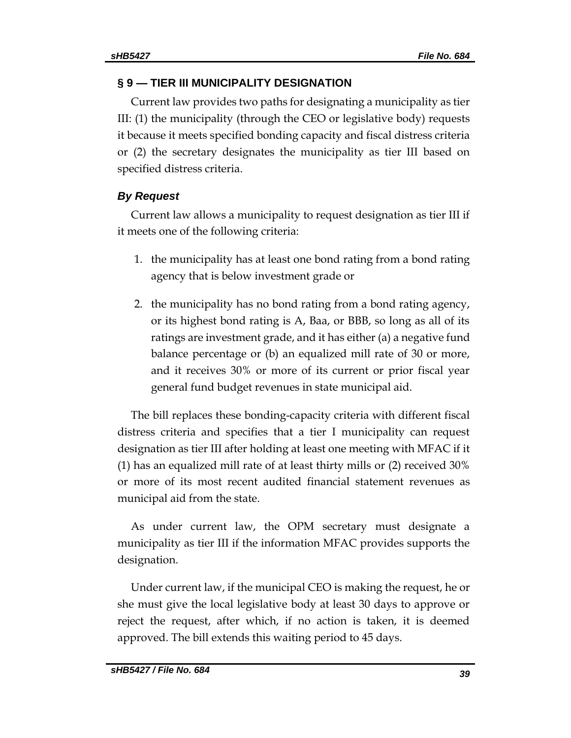### **§ 9 — TIER III MUNICIPALITY DESIGNATION**

Current law provides two paths for designating a municipality as tier III: (1) the municipality (through the CEO or legislative body) requests it because it meets specified bonding capacity and fiscal distress criteria or (2) the secretary designates the municipality as tier III based on specified distress criteria.

# *By Request*

Current law allows a municipality to request designation as tier III if it meets one of the following criteria:

- 1. the municipality has at least one bond rating from a bond rating agency that is below investment grade or
- 2. the municipality has no bond rating from a bond rating agency, or its highest bond rating is A, Baa, or BBB, so long as all of its ratings are investment grade, and it has either (a) a negative fund balance percentage or (b) an equalized mill rate of 30 or more, and it receives 30% or more of its current or prior fiscal year general fund budget revenues in state municipal aid.

The bill replaces these bonding-capacity criteria with different fiscal distress criteria and specifies that a tier I municipality can request designation as tier III after holding at least one meeting with MFAC if it (1) has an equalized mill rate of at least thirty mills or (2) received 30% or more of its most recent audited financial statement revenues as municipal aid from the state.

As under current law, the OPM secretary must designate a municipality as tier III if the information MFAC provides supports the designation.

Under current law, if the municipal CEO is making the request, he or she must give the local legislative body at least 30 days to approve or reject the request, after which, if no action is taken, it is deemed approved. The bill extends this waiting period to 45 days.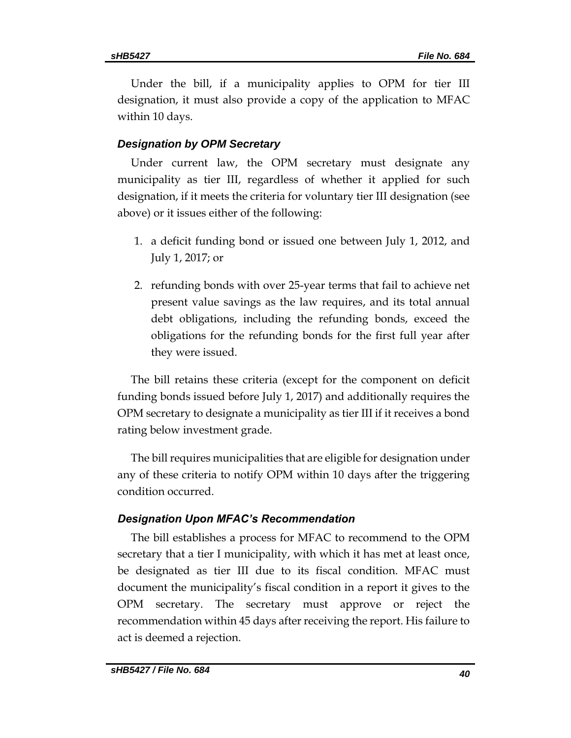Under the bill, if a municipality applies to OPM for tier III designation, it must also provide a copy of the application to MFAC within 10 days.

### *Designation by OPM Secretary*

Under current law, the OPM secretary must designate any municipality as tier III, regardless of whether it applied for such designation, if it meets the criteria for voluntary tier III designation (see above) or it issues either of the following:

- 1. a deficit funding bond or issued one between July 1, 2012, and July 1, 2017; or
- 2. refunding bonds with over 25-year terms that fail to achieve net present value savings as the law requires, and its total annual debt obligations, including the refunding bonds, exceed the obligations for the refunding bonds for the first full year after they were issued.

The bill retains these criteria (except for the component on deficit funding bonds issued before July 1, 2017) and additionally requires the OPM secretary to designate a municipality as tier III if it receives a bond rating below investment grade.

The bill requires municipalities that are eligible for designation under any of these criteria to notify OPM within 10 days after the triggering condition occurred.

#### *Designation Upon MFAC's Recommendation*

The bill establishes a process for MFAC to recommend to the OPM secretary that a tier I municipality, with which it has met at least once, be designated as tier III due to its fiscal condition. MFAC must document the municipality's fiscal condition in a report it gives to the OPM secretary. The secretary must approve or reject the recommendation within 45 days after receiving the report. His failure to act is deemed a rejection.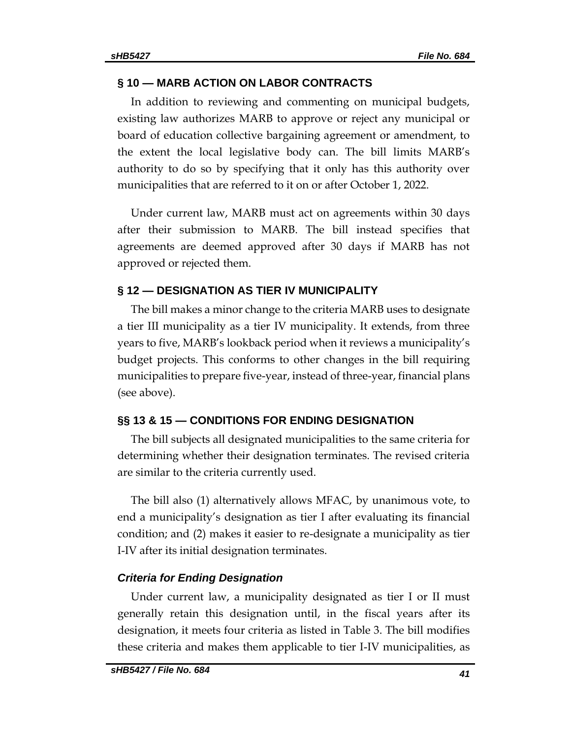### **§ 10 — MARB ACTION ON LABOR CONTRACTS**

In addition to reviewing and commenting on municipal budgets, existing law authorizes MARB to approve or reject any municipal or board of education collective bargaining agreement or amendment, to the extent the local legislative body can. The bill limits MARB's authority to do so by specifying that it only has this authority over municipalities that are referred to it on or after October 1, 2022.

Under current law, MARB must act on agreements within 30 days after their submission to MARB. The bill instead specifies that agreements are deemed approved after 30 days if MARB has not approved or rejected them.

### **§ 12 — DESIGNATION AS TIER IV MUNICIPALITY**

The bill makes a minor change to the criteria MARB uses to designate a tier III municipality as a tier IV municipality. It extends, from three years to five, MARB's lookback period when it reviews a municipality's budget projects. This conforms to other changes in the bill requiring municipalities to prepare five-year, instead of three-year, financial plans (see above).

### **§§ 13 & 15 — CONDITIONS FOR ENDING DESIGNATION**

The bill subjects all designated municipalities to the same criteria for determining whether their designation terminates. The revised criteria are similar to the criteria currently used.

The bill also (1) alternatively allows MFAC, by unanimous vote, to end a municipality's designation as tier I after evaluating its financial condition; and (2) makes it easier to re-designate a municipality as tier I-IV after its initial designation terminates.

#### *Criteria for Ending Designation*

Under current law, a municipality designated as tier I or II must generally retain this designation until, in the fiscal years after its designation, it meets four criteria as listed in Table 3. The bill modifies these criteria and makes them applicable to tier I-IV municipalities, as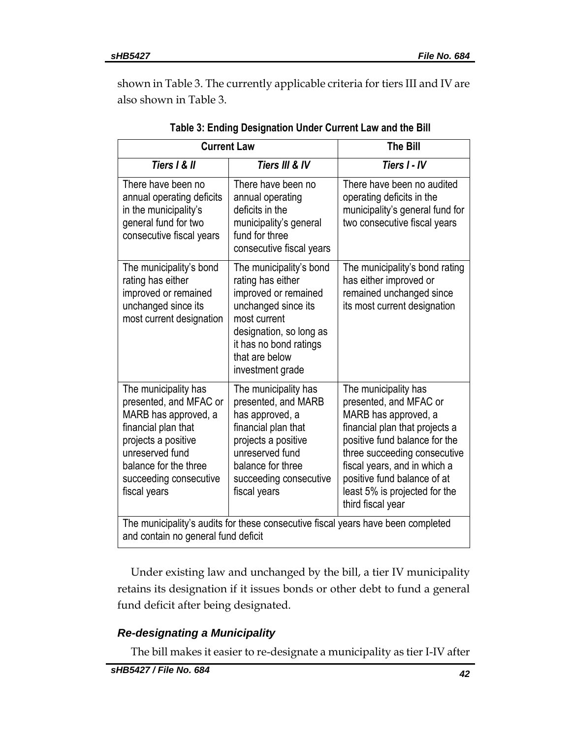shown in Table 3. The currently applicable criteria for tiers III and IV are also shown in Table 3.

| <b>Current Law</b>                                                                                                                                                                                                                                                                                                                                                                                           | <b>The Bill</b>                                                                                                                                                                                        |                                                                                                                                                                                                                                                                                                |  |
|--------------------------------------------------------------------------------------------------------------------------------------------------------------------------------------------------------------------------------------------------------------------------------------------------------------------------------------------------------------------------------------------------------------|--------------------------------------------------------------------------------------------------------------------------------------------------------------------------------------------------------|------------------------------------------------------------------------------------------------------------------------------------------------------------------------------------------------------------------------------------------------------------------------------------------------|--|
| Tiers I & II                                                                                                                                                                                                                                                                                                                                                                                                 | Tiers III & IV                                                                                                                                                                                         |                                                                                                                                                                                                                                                                                                |  |
| There have been no<br>annual operating deficits<br>in the municipality's<br>general fund for two<br>consecutive fiscal years                                                                                                                                                                                                                                                                                 | There have been no<br>annual operating<br>deficits in the<br>municipality's general<br>fund for three<br>consecutive fiscal years                                                                      | There have been no audited<br>operating deficits in the<br>municipality's general fund for<br>two consecutive fiscal years                                                                                                                                                                     |  |
| The municipality's bond<br>rating has either<br>improved or remained<br>unchanged since its<br>most current designation                                                                                                                                                                                                                                                                                      | The municipality's bond<br>rating has either<br>improved or remained<br>unchanged since its<br>most current<br>designation, so long as<br>it has no bond ratings<br>that are below<br>investment grade | The municipality's bond rating<br>has either improved or<br>remained unchanged since<br>its most current designation                                                                                                                                                                           |  |
| The municipality has<br>The municipality has<br>presented, and MFAC or<br>presented, and MARB<br>MARB has approved, a<br>has approved, a<br>financial plan that<br>financial plan that<br>projects a positive<br>projects a positive<br>unreserved fund<br>unreserved fund<br>balance for the three<br>balance for three<br>succeeding consecutive<br>succeeding consecutive<br>fiscal years<br>fiscal years |                                                                                                                                                                                                        | The municipality has<br>presented, and MFAC or<br>MARB has approved, a<br>financial plan that projects a<br>positive fund balance for the<br>three succeeding consecutive<br>fiscal years, and in which a<br>positive fund balance of at<br>least 5% is projected for the<br>third fiscal year |  |
| The municipality's audits for these consecutive fiscal years have been completed<br>and contain no general fund deficit                                                                                                                                                                                                                                                                                      |                                                                                                                                                                                                        |                                                                                                                                                                                                                                                                                                |  |

**Table 3: Ending Designation Under Current Law and the Bill**

Under existing law and unchanged by the bill, a tier IV municipality retains its designation if it issues bonds or other debt to fund a general fund deficit after being designated.

# *Re-designating a Municipality*

The bill makes it easier to re-designate a municipality as tier I-IV after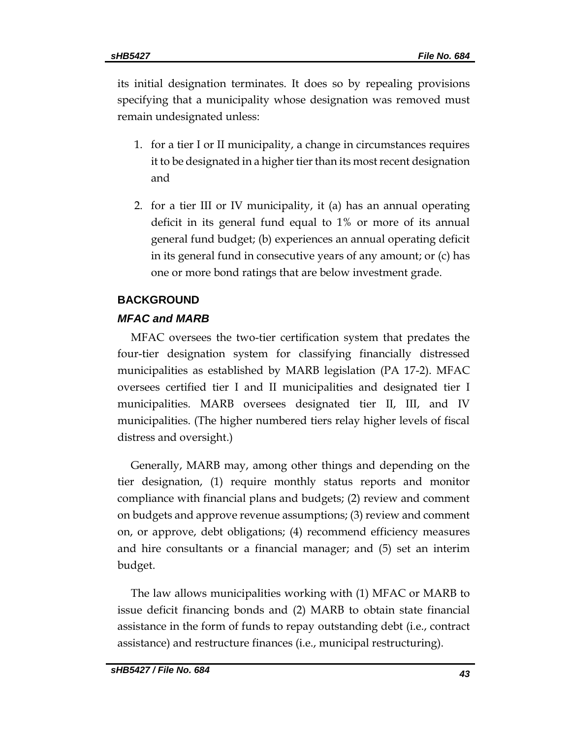its initial designation terminates. It does so by repealing provisions specifying that a municipality whose designation was removed must remain undesignated unless:

- 1. for a tier I or II municipality, a change in circumstances requires it to be designated in a higher tier than its most recent designation and
- 2. for a tier III or IV municipality, it (a) has an annual operating deficit in its general fund equal to 1% or more of its annual general fund budget; (b) experiences an annual operating deficit in its general fund in consecutive years of any amount; or (c) has one or more bond ratings that are below investment grade.

### **BACKGROUND**

### *MFAC and MARB*

MFAC oversees the two-tier certification system that predates the four-tier designation system for classifying financially distressed municipalities as established by MARB legislation (PA 17-2). MFAC oversees certified tier I and II municipalities and designated tier I municipalities. MARB oversees designated tier II, III, and IV municipalities. (The higher numbered tiers relay higher levels of fiscal distress and oversight.)

Generally, MARB may, among other things and depending on the tier designation, (1) require monthly status reports and monitor compliance with financial plans and budgets; (2) review and comment on budgets and approve revenue assumptions; (3) review and comment on, or approve, debt obligations; (4) recommend efficiency measures and hire consultants or a financial manager; and (5) set an interim budget.

The law allows municipalities working with (1) MFAC or MARB to issue deficit financing bonds and (2) MARB to obtain state financial assistance in the form of funds to repay outstanding debt (i.e., contract assistance) and restructure finances (i.e., municipal restructuring).